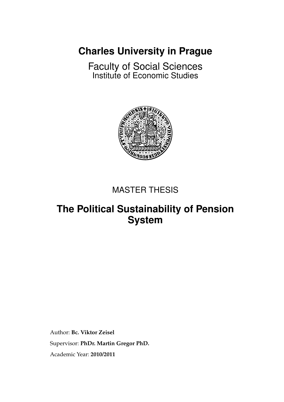**[Charles University in Prague](http://www.cuni.cz/UKENG-1.html)**

[Faculty of Social Sciences](http://fsveng.fsv.cuni.cz/FSVENG-1.html) [Institute of Economic Studies](http://ies.fsv.cuni.cz/index.php?module=board&action=board&lng=en_GB)



## MASTER THESIS

## **The Political Sustainability of Pension System**

Author: **[Bc. Viktor Zeisel](mailto:viktor@zeiselweb.com)** Supervisor: **[PhDr. Martin Gregor PhD.](mailto:gregor@fsv.cuni.cz)** Academic Year: **2010/2011**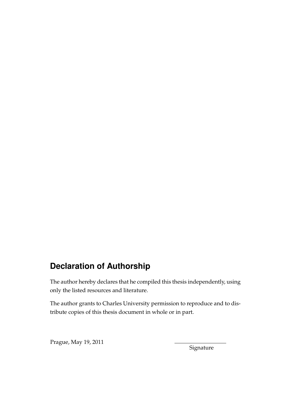## **Declaration of Authorship**

The author hereby declares that he compiled this thesis independently, using only the listed resources and literature.

The author grants to Charles University permission to reproduce and to distribute copies of this thesis document in whole or in part.

Prague, May 19, 2011

Signature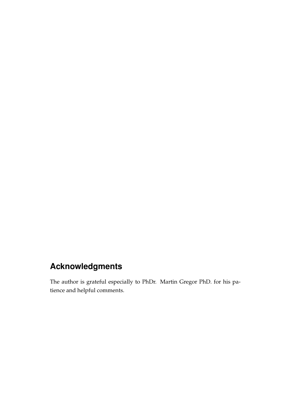## **Acknowledgments**

The author is grateful especially to PhDr. Martin Gregor PhD. for his patience and helpful comments.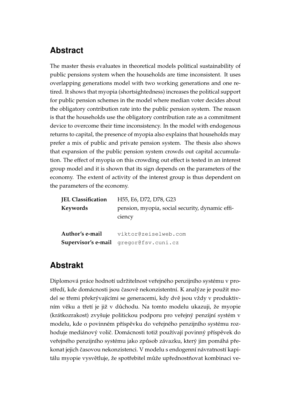## **Abstract**

The master thesis evaluates in theoretical models political sustainability of public pensions system when the households are time inconsistent. It uses overlapping generations model with two working generations and one retired. It shows that myopia (shortsightedness) increases the political support for public pension schemes in the model where median voter decides about the obligatory contribution rate into the public pension system. The reason is that the households use the obligatory contribution rate as a commitment device to overcome their time inconsistency. In the model with endogenous returns to capital, the presence of myopia also explains that households may prefer a mix of public and private pension system. The thesis also shows that expansion of the public pension system crowds out capital accumulation. The effect of myopia on this crowding out effect is tested in an interest group model and it is shown that its sign depends on the parameters of the economy. The extent of activity of the interest group is thus dependent on the parameters of the economy.

## **Abstrakt**

Diplomová práce hodnotí udržitelnost veřejného penzijního systému v prostředí, kde domácnosti jsou časově nekonzistentní. K analýze je použit model se třemi překrývajícími se generacemi, kdy dvě jsou vždy v produktivním věku a třetí je již v důchodu. Na tomto modelu ukazuji, že myopie (krátkozrakost) zvyšuje politickou podporu pro veřejný penzijní systém v modelu, kde o povinném příspěvku do veřejného penzijního systému rozhoduje mediánový volič. Domácnosti totiž používají povinný příspěvek do veřejného penzijního systému jako způsob závazku, který jim pomáhá překonat jejich časovou nekonzistenci. V modelu s endogenní návratností kapitálu myopie vysvětluje, že spotřebitel může upřednostňovat kombinaci ve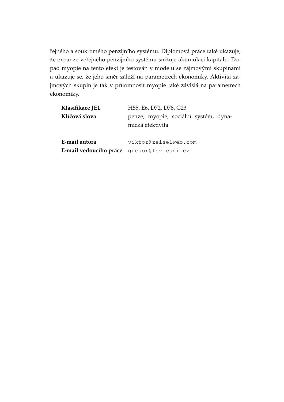řejného a soukromého penzijního systému. Diplomová práce také ukazuje, že expanze veřejného penzijního systému snižuje akumulaci kapitálu. Dopad myopie na tento efekt je testován v modelu se zájmovými skupinami a ukazuje se, že jeho směr záleží na parametrech ekonomiky. Aktivita zájmových skupin je tak v přítomnosit myopie také závislá na parametrech ekonomiky.

| Klasifikace JEL<br>Klíčová slova | H55, E6, D72, D78, G23<br>penze, myopie, sociální systém, dyna-<br>mická efektivita |
|----------------------------------|-------------------------------------------------------------------------------------|
| E-mail autora                    | viktor@zeiselweb.com<br>E-mail vedoucího práce gregor@fsv.cuni.cz                   |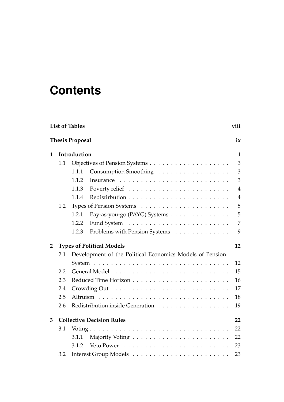# **Contents**

|              |     | <b>List of Tables</b>                                    | viii           |  |  |  |  |  |  |
|--------------|-----|----------------------------------------------------------|----------------|--|--|--|--|--|--|
|              |     | <b>Thesis Proposal</b>                                   | ix             |  |  |  |  |  |  |
| 1            |     | Introduction                                             | $\mathbf{1}$   |  |  |  |  |  |  |
|              | 1.1 |                                                          |                |  |  |  |  |  |  |
|              |     | Consumption Smoothing<br>1.1.1                           | 3              |  |  |  |  |  |  |
|              |     | 1.1.2<br>Insurance                                       | 3              |  |  |  |  |  |  |
|              |     | 1.1.3                                                    | $\overline{4}$ |  |  |  |  |  |  |
|              |     | 1.1.4                                                    | $\overline{4}$ |  |  |  |  |  |  |
|              | 1.2 |                                                          | 5              |  |  |  |  |  |  |
|              |     | 1.2.1<br>Pay-as-you-go (PAYG) Systems                    | 5              |  |  |  |  |  |  |
|              |     | 1.2.2                                                    | $\overline{7}$ |  |  |  |  |  |  |
|              |     | 1.2.3<br>Problems with Pension Systems                   | 9              |  |  |  |  |  |  |
| $\mathbf{2}$ |     | <b>Types of Political Models</b>                         | 12             |  |  |  |  |  |  |
|              | 2.1 | Development of the Political Economics Models of Pension |                |  |  |  |  |  |  |
|              |     |                                                          | 12             |  |  |  |  |  |  |
|              | 2.2 |                                                          | 15             |  |  |  |  |  |  |
|              | 2.3 |                                                          | 16             |  |  |  |  |  |  |
|              | 2.4 |                                                          | 17             |  |  |  |  |  |  |
|              | 2.5 |                                                          | 18             |  |  |  |  |  |  |
|              | 2.6 | Redistribution inside Generation                         | 19             |  |  |  |  |  |  |
| 3            |     | <b>Collective Decision Rules</b>                         | 22             |  |  |  |  |  |  |
|              | 3.1 |                                                          | 22             |  |  |  |  |  |  |
|              |     | 3.1.1                                                    | 22             |  |  |  |  |  |  |
|              |     | 3.1.2                                                    | 23             |  |  |  |  |  |  |
|              | 3.2 |                                                          | 23             |  |  |  |  |  |  |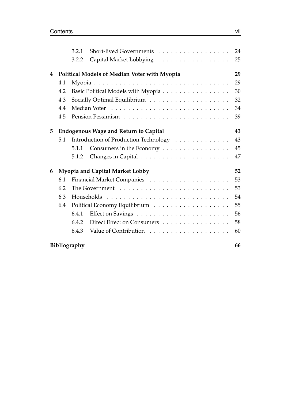|   |     | 3.2.1                                    | Short-lived Governments                      | 24 |  |  |  |  |  |  |  |  |  |
|---|-----|------------------------------------------|----------------------------------------------|----|--|--|--|--|--|--|--|--|--|
|   |     | 3.2.2                                    | Capital Market Lobbying                      | 25 |  |  |  |  |  |  |  |  |  |
| 4 |     |                                          | Political Models of Median Voter with Myopia | 29 |  |  |  |  |  |  |  |  |  |
|   | 4.1 | 29                                       |                                              |    |  |  |  |  |  |  |  |  |  |
|   | 4.2 | Basic Political Models with Myopia<br>30 |                                              |    |  |  |  |  |  |  |  |  |  |
|   | 4.3 |                                          |                                              | 32 |  |  |  |  |  |  |  |  |  |
|   | 4.4 |                                          |                                              | 34 |  |  |  |  |  |  |  |  |  |
|   | 4.5 |                                          |                                              | 39 |  |  |  |  |  |  |  |  |  |
| 5 |     |                                          | <b>Endogenous Wage and Return to Capital</b> | 43 |  |  |  |  |  |  |  |  |  |
|   | 5.1 |                                          | Introduction of Production Technology        | 43 |  |  |  |  |  |  |  |  |  |
|   |     | 5.1.1                                    | Consumers in the Economy                     | 45 |  |  |  |  |  |  |  |  |  |
|   |     | 5.1.2                                    |                                              | 47 |  |  |  |  |  |  |  |  |  |
| 6 |     |                                          | <b>Myopia and Capital Market Lobby</b>       | 52 |  |  |  |  |  |  |  |  |  |
|   | 6.1 |                                          |                                              | 53 |  |  |  |  |  |  |  |  |  |
|   | 6.2 |                                          |                                              | 53 |  |  |  |  |  |  |  |  |  |
|   | 6.3 |                                          |                                              | 54 |  |  |  |  |  |  |  |  |  |
|   | 6.4 |                                          |                                              | 55 |  |  |  |  |  |  |  |  |  |
|   |     | 6.4.1                                    |                                              | 56 |  |  |  |  |  |  |  |  |  |
|   |     | 6.4.2                                    | Direct Effect on Consumers                   | 58 |  |  |  |  |  |  |  |  |  |
|   |     | 6.4.3                                    |                                              | 60 |  |  |  |  |  |  |  |  |  |
|   |     | Bibliography                             |                                              | 66 |  |  |  |  |  |  |  |  |  |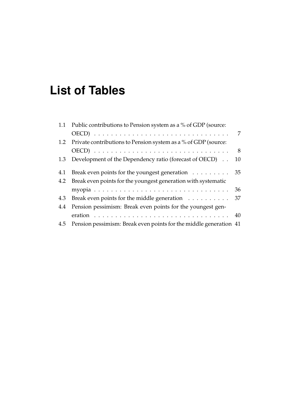# <span id="page-7-0"></span>**List of Tables**

|     | 1.1 Public contributions to Pension system as a % of GDP (source:     |             |
|-----|-----------------------------------------------------------------------|-------------|
|     |                                                                       | 7           |
|     | 1.2 Private contributions to Pension system as a % of GDP (source:    |             |
|     |                                                                       | $8^{\circ}$ |
|     | 1.3 Development of the Dependency ratio (forecast of OECD).           | 10          |
| 4.1 | Break even points for the youngest generation $\dots \dots \dots$ 35  |             |
|     | 4.2 Break even points for the youngest generation with systematic     |             |
|     |                                                                       | 36          |
|     | 4.3 Break even points for the middle generation                       | 37          |
|     | 4.4 Pension pessimism: Break even points for the youngest gen-        |             |
|     |                                                                       |             |
|     | 4.5 Pension pessimism: Break even points for the middle generation 41 |             |
|     |                                                                       |             |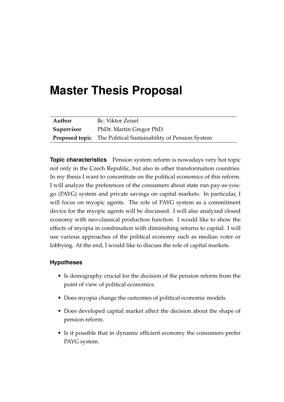# <span id="page-8-0"></span>**Master Thesis Proposal**

| Author     | Bc. Viktor Zeisel                                                    |
|------------|----------------------------------------------------------------------|
| Supervisor | PhDr. Martin Gregor PhD.                                             |
|            | <b>Proposed topic</b> The Political Sustainability of Pension System |

**Topic characteristics** Pension system reform is nowadays very hot topic not only in the Czech Republic, but also in other transformation countries. In my thesis I want to concentrate on the political economics of this reform. I will analyze the preferences of the consumers about state run pay-as-yougo (PAYG) system and private savings on capital markets. In particular, I will focus on myopic agents. The role of PAYG system as a commitment device for the myopic agents will be discussed. I will also analyzed closed economy with neo-classical production function. I would like to show the effects of myopia in combination with diminishing returns to capital. I will use various approaches of the political economy such as median voter or lobbying. At the end, I would like to discuss the role of capital markets.

#### **Hypotheses**

- Is demography crucial for the decision of the pension reform from the point of view of political economics.
- Does myopia change the outcomes of political economic models.
- Does developed capital market affect the decision about the shape of pension reform.
- Is it possible that in dynamic efficient economy the consumers prefer PAYG system.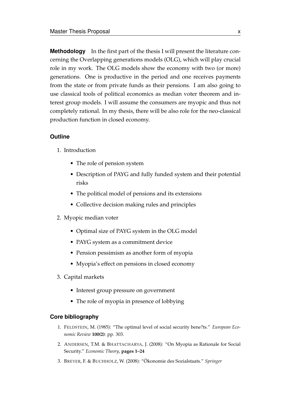**Methodology** In the first part of the thesis I will present the literature concerning the Overlapping generations models (OLG), which will play crucial role in my work. The OLG models show the economy with two (or more) generations. One is productive in the period and one receives payments from the state or from private funds as their pensions. I am also going to use classical tools of political economics as median voter theorem and interest group models. I will assume the consumers are myopic and thus not completely rational. In my thesis, there will be also role for the neo-classical production function in closed economy.

#### **Outline**

- 1. Introduction
	- The role of pension system
	- Description of PAYG and fully funded system and their potential risks
	- The political model of pensions and its extensions
	- Collective decision making rules and principles
- 2. Myopic median voter
	- Optimal size of PAYG system in the OLG model
	- PAYG system as a commitment device
	- Pension pessimism as another form of myopia
	- Myopia's effect on pensions in closed economy
- 3. Capital markets
	- Interest group pressure on government
	- The role of myopia in presence of lobbying

#### **Core bibliography**

- 1. FELDSTEIN, M. (1985): "The optimal level of social security bene?ts." *European Economic Review* **100(2)**: pp. 303.
- 2. ANDERSEN, T.M. & BHATTACHARYA, J. (2008): "On Myopia as Rationale for Social Security." *Economic Theory*, **pages 1–24**
- 3. BREYER, F. & BUCHHOLZ, W. (2008): "Ökonomie des Sozialstaats." *Springer*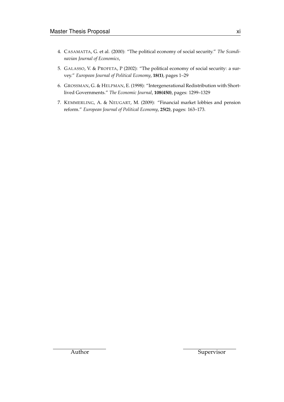- 4. CASAMATTA, G. et al. (2000): "The political economy of social security." *The Scandinavian Journal of Economics*,
- 5. GALASSO, V. & PROFETA, P (2002): "The political economy of social security: a survey." *European Journal of Political Economy*, **18(1)**, pages 1–29
- 6. GROSSMAN, G. & HELPMAN, E. (1998): "Intergenerational Redistribution with Shortlived Governments." *The Economic Journal*, **108(450)**, pages: 1299–1329
- 7. KEMMERLING, A. & NEUGART, M. (2009): "Financial market lobbies and pension reform." *European Journal of Political Economy*, **25(2)**, pages: 163–173.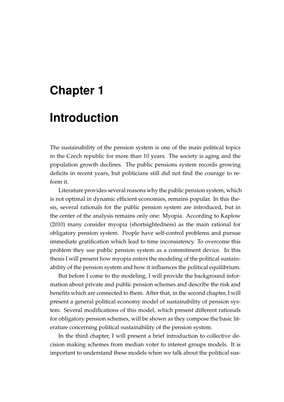## <span id="page-11-0"></span>**Chapter 1**

## **Introduction**

The sustainability of the pension system is one of the main political topics in the Czech republic for more than 10 years. The society is aging and the population growth declines. The public pensions system records growing deficits in recent years, but politicians still did not find the courage to reform it.

Literature provides several reasons why the public pension system, which is not optimal in dynamic efficient economies, remains popular. In this thesis, several rationals for the public pension system are introduced, but in the center of the analysis remains only one: Myopia. According to [Kaplow](#page-75-0) [\(2010\)](#page-75-0) many consider myopia (shortsightedness) as the main rational for obligatory pension system. People have self-control problems and pursue immediate gratification which lead to time inconsistency. To overcome this problem they use public pension system as a commitment device. In this thesis I will present how myopia enters the modeling of the political sustainability of the pension system and how it influences the political equilibrium.

But before I come to the modeling, I will provide the background information about private and public pension schemes and describe the risk and benefits which are connected to them. After that, in the second chapter, I will present a general political economy model of sustainability of pension system. Several modifications of this model, which present different rationals for obligatory pension schemes, will be shown as they compose the basic literature concerning political sustainability of the pension system.

In the third chapter, I will present a brief introduction to collective decision making schemes from median voter to interest groups models. It is important to understand these models when we talk about the political sus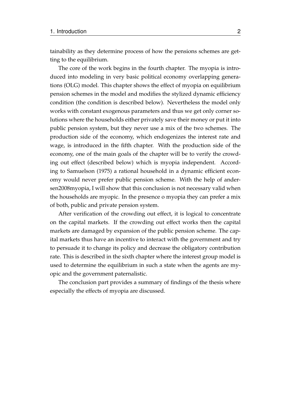tainability as they determine process of how the pensions schemes are getting to the equilibrium.

The core of the work begins in the fourth chapter. The myopia is introduced into modeling in very basic political economy overlapping generations (OLG) model. This chapter shows the effect of myopia on equilibrium pension schemes in the model and modifies the stylized dynamic efficiency condition (the condition is described below). Nevertheless the model only works with constant exogenous parameters and thus we get only corner solutions where the households either privately save their money or put it into public pension system, but they never use a mix of the two schemes. The production side of the economy, which endogenizes the interest rate and wage, is introduced in the fifth chapter. With the production side of the economy, one of the main goals of the chapter will be to verify the crowding out effect (described below) which is myopia independent. According to [Samuelson](#page-76-0) [\(1975\)](#page-76-0) a rational household in a dynamic efficient economy would never prefer public pension scheme. With the help of andersen2008myopia, I will show that this conclusion is not necessary valid when the households are myopic. In the presence o myopia they can prefer a mix of both, public and private pension system.

After verification of the crowding out effect, it is logical to concentrate on the capital markets. If the crowding out effect works then the capital markets are damaged by expansion of the public pension scheme. The capital markets thus have an incentive to interact with the government and try to persuade it to change its policy and decrease the obligatory contribution rate. This is described in the sixth chapter where the interest group model is used to determine the equilibrium in such a state when the agents are myopic and the government paternalistic.

The conclusion part provides a summary of findings of the thesis where especially the effects of myopia are discussed.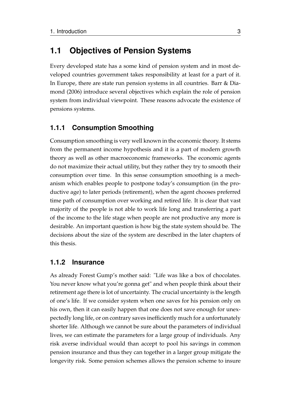### <span id="page-13-0"></span>**1.1 Objectives of Pension Systems**

Every developed state has a some kind of pension system and in most developed countries government takes responsibility at least for a part of it. In Europe, there are state run pension systems in all countries. [Barr & Dia](#page-74-1)[mond](#page-74-1) [\(2006\)](#page-74-1) introduce several objectives which explain the role of pension system from individual viewpoint. These reasons advocate the existence of pensions systems.

### <span id="page-13-1"></span>**1.1.1 Consumption Smoothing**

Consumption smoothing is very well known in the economic theory. It stems from the permanent income hypothesis and it is a part of modern growth theory as well as other macroeconomic frameworks. The economic agents do not maximize their actual utility, but they rather they try to smooth their consumption over time. In this sense consumption smoothing is a mechanism which enables people to postpone today's consumption (in the productive age) to later periods (retirement), when the agent chooses preferred time path of consumption over working and retired life. It is clear that vast majority of the people is not able to work life long and transferring a part of the income to the life stage when people are not productive any more is desirable. An important question is how big the state system should be. The decisions about the size of the system are described in the later chapters of this thesis.

### <span id="page-13-2"></span>**1.1.2 Insurance**

As already Forest Gump's mother said: "Life was like a box of chocolates. You never know what you're gonna get" and when people think about their retirement age there is lot of uncertainty. The crucial uncertainty is the length of one's life. If we consider system when one saves for his pension only on his own, then it can easily happen that one does not save enough for unexpectedly long life, or on contrary saves inefficiently much for a unfortunately shorter life. Although we cannot be sure about the parameters of individual lives, we can estimate the parameters for a large group of individuals. Any risk averse individual would than accept to pool his savings in common pension insurance and thus they can together in a larger group mitigate the longevity risk. Some pension schemes allows the pension scheme to insure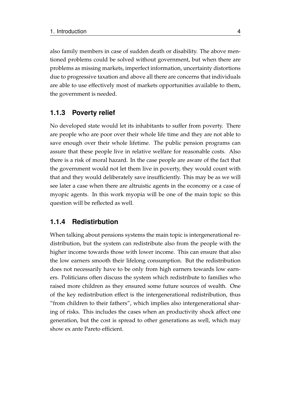also family members in case of sudden death or disability. The above mentioned problems could be solved without government, but when there are problems as missing markets, imperfect information, uncertainty distortions due to progressive taxation and above all there are concerns that individuals are able to use effectively most of markets opportunities available to them, the government is needed.

### <span id="page-14-0"></span>**1.1.3 Poverty relief**

No developed state would let its inhabitants to suffer from poverty. There are people who are poor over their whole life time and they are not able to save enough over their whole lifetime. The public pension programs can assure that these people live in relative welfare for reasonable costs. Also there is a risk of moral hazard. In the case people are aware of the fact that the government would not let them live in poverty, they would count with that and they would deliberately save insufficiently. This may be as we will see later a case when there are altruistic agents in the economy or a case of myopic agents. In this work myopia will be one of the main topic so this question will be reflected as well.

### <span id="page-14-1"></span>**1.1.4 Redistirbution**

When talking about pensions systems the main topic is intergenerational redistribution, but the system can redistribute also from the people with the higher income towards those with lower income. This can ensure that also the low earners smooth their lifelong consumption. But the redistribution does not necessarily have to be only from high earners towards low earners. Politicians often discuss the system which redistribute to families who raised more children as they ensured some future sources of wealth. One of the key redistribution effect is the intergenerational redistribution, thus "from children to their fathers", which implies also intergenerational sharing of risks. This includes the cases when an productivity shock affect one generation, but the cost is spread to other generations as well, which may show ex ante Pareto efficient.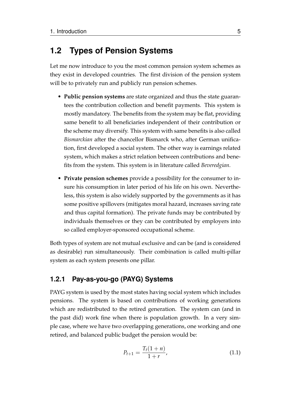## <span id="page-15-0"></span>**1.2 Types of Pension Systems**

Let me now introduce to you the most common pension system schemes as they exist in developed countries. The first division of the pension system will be to privately run and publicly run pension schemes.

- **Public pension systems** are state organized and thus the state guarantees the contribution collection and benefit payments. This system is mostly mandatory. The benefits from the system may be flat, providing same benefit to all beneficiaries independent of their contribution or the scheme may diversify. This system with same benefits is also called *Bismarckian* after the chancellor Bismarck who, after German unification, first developed a social system. The other way is earnings related system, which makes a strict relation between contributions and benefits from the system. This system is in literature called *Beveredgian*.
- **Private pension schemes** provide a possibility for the consumer to insure his consumption in later period of his life on his own. Nevertheless, this system is also widely supported by the governments as it has some positive spillovers (mitigates moral hazard, increases saving rate and thus capital formation). The private funds may be contributed by individuals themselves or they can be contributed by employers into so called employer-sponsored occupational scheme.

Both types of system are not mutual exclusive and can be (and is considered as desirable) run simultaneously. Their combination is called multi-pillar system as each system presents one pillar.

### <span id="page-15-1"></span>**1.2.1 Pay-as-you-go (PAYG) Systems**

PAYG system is used by the most states having social system which includes pensions. The system is based on contributions of working generations which are redistributed to the retired generation. The system can (and in the past did) work fine when there is population growth. In a very simple case, where we have two overlapping generations, one working and one retired, and balanced public budget the pension would be:

$$
P_{t+1} = \frac{T_t(1+n)}{1+r},
$$
\n(1.1)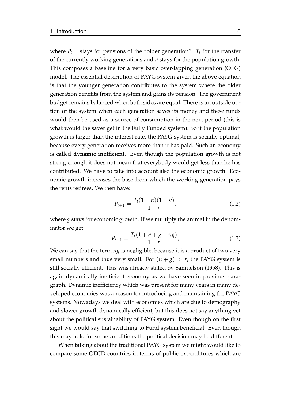where  $P_{t+1}$  stays for pensions of the "older generation".  $T_t$  for the transfer of the currently working generations and *n* stays for the population growth. This composes a baseline for a very basic over-lapping generation (OLG) model. The essential description of PAYG system given the above equation is that the younger generation contributes to the system where the older generation benefits from the system and gains its pension. The government budget remains balanced when both sides are equal. There is an outside option of the system when each generation saves its money and these funds would then be used as a source of consumption in the next period (this is what would the saver get in the Fully Funded system). So if the population growth is larger than the interest rate, the PAYG system is socially optimal, because every generation receives more than it has paid. Such an economy is called **dynamic inefficient**. Even though the population growth is not strong enough it does not mean that everybody would get less than he has contributed. We have to take into account also the economic growth. Economic growth increases the base from which the working generation pays the rents retirees. We then have:

$$
P_{t+1} = \frac{T_t(1+n)(1+g)}{1+r},
$$
\n(1.2)

where *g* stays for economic growth. If we multiply the animal in the denominator we get:

$$
P_{t+1} = \frac{T_t(1+n+g+ng)}{1+r},
$$
\n(1.3)

We can say that the term *ng* is negligible, because it is a product of two very small numbers and thus very small. For  $(n + g) > r$ , the PAYG system is still socially efficient. This was already stated by [Samuelson](#page-76-1) [\(1958\)](#page-76-1). This is again dynamically inefficient economy as we have seen in previous paragraph. Dynamic inefficiency which was present for many years in many developed economies was a reason for introducing and maintaining the PAYG systems. Nowadays we deal with economies which are due to demography and slower growth dynamically efficient, but this does not say anything yet about the political sustainability of PAYG system. Even though on the first sight we would say that switching to Fund system beneficial. Even though this may hold for some conditions the political decision may be different.

When talking about the traditional PAYG system we might would like to compare some OECD countries in terms of public expenditures which are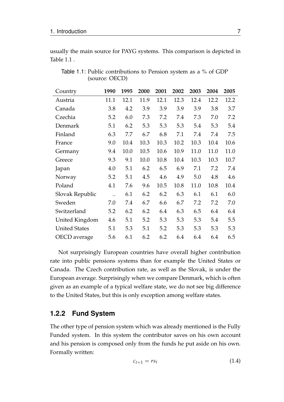usually the main source for PAYG systems. This comparison is depicted in Table [1.1](#page-17-1) .

| Country              | 1990                 | 1995 | 2000 | 2001 | 2002 | 2003 | 2004 | 2005 |
|----------------------|----------------------|------|------|------|------|------|------|------|
| Austria              | 11.1                 | 12.1 | 11.9 | 12.1 | 12.3 | 12.4 | 12.2 | 12.2 |
| Canada               | 3.8                  | 4.2  | 3.9  | 3.9  | 3.9  | 3.9  | 3.8  | 3.7  |
| Czechia              | 5.2                  | 6.0  | 7.3  | 7.2  | 7.4  | 7.3  | 7.0  | 7.2  |
| Denmark              | 5.1                  | 6.2  | 5.3  | 5.3  | 5.3  | 5.4  | 5.3  | 5.4  |
| Finland              | 6.3                  | 7.7  | 6.7  | 6.8  | 7.1  | 7.4  | 7.4  | 7.5  |
| France               | 9.0                  | 10.4 | 10.3 | 10.3 | 10.2 | 10.3 | 10.4 | 10.6 |
| Germany              | 9.4                  | 10.0 | 10.5 | 10.6 | 10.9 | 11.0 | 11.0 | 11.0 |
| Greece               | 9.3                  | 9.1  | 10.0 | 10.8 | 10.4 | 10.3 | 10.3 | 10.7 |
| Japan                | 4.0                  | 5.1  | 6.2  | 6.5  | 6.9  | 7.1  | 7.2  | 7.4  |
| Norway               | 5.2                  | 5.1  | 4.5  | 4.6  | 4.9  | 5.0  | 4.8  | 4.6  |
| Poland               | 4.1                  | 7.6  | 9.6  | 10.5 | 10.8 | 11.0 | 10.8 | 10.4 |
| Slovak Republic      | $\ddot{\phantom{0}}$ | 6.1  | 6.2  | 6.2  | 6.3  | 6.1  | 6.1  | 6.0  |
| Sweden               | 7.0                  | 7.4  | 6.7  | 6.6  | 6.7  | 7.2  | 7.2  | 7.0  |
| Switzerland          | 5.2                  | 6.2  | 6.2  | 6.4  | 6.3  | 6.5  | 6.4  | 6.4  |
| United Kingdom       | 4.6                  | 5.1  | 5.2  | 5.3  | 5.3  | 5.3  | 5.4  | 5.5  |
| <b>United States</b> | 5.1                  | 5.3  | 5.1  | 5.2  | 5.3  | 5.3  | 5.3  | 5.3  |
| OECD average         | 5.6                  | 6.1  | 6.2  | 6.2  | 6.4  | 6.4  | 6.4  | 6.5  |

<span id="page-17-1"></span>Table 1.1: Public contributions to Pension system as a % of GDP (source: OECD)

Not surprisingly European countries have overall higher contribution rate into public pensions systems than for example the United States or Canada. The Czech contribution rate, as well as the Slovak, is under the European average. Surprisingly when we compare Denmark, which is often given as an example of a typical welfare state, we do not see big difference to the United States, but this is only exception among welfare states.

### <span id="page-17-0"></span>**1.2.2 Fund System**

The other type of pension system which was already mentioned is the Fully Funded system. In this system the contributor saves on his own account and his pension is composed only from the funds he put aside on his own. Formally written:

$$
c_{t+1} = rs_t \tag{1.4}
$$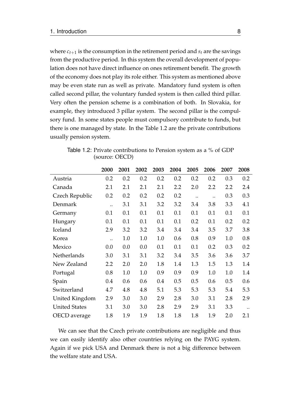where  $c_{t+1}$  is the consumption in the retirement period and  $s_t$  are the savings from the productive period. In this system the overall development of population does not have direct influence on ones retirement benefit. The growth of the economy does not play its role either. This system as mentioned above may be even state run as well as private. Mandatory fund system is often called second pillar, the voluntary funded system is then called third pillar. Very often the pension scheme is a combination of both. In Slovakia, for example, they introduced 3 pillar system. The second pillar is the compulsory fund. In some states people must compulsory contribute to funds, but there is one managed by state. In the Table [1.2](#page-18-0) are the private contributions usually pension system.

|                      | 2000                 | 2001 | 2002 | 2003 | 2004 | 2005      | 2006 | 2007 | 2008 |
|----------------------|----------------------|------|------|------|------|-----------|------|------|------|
| Austria              | 0.2                  | 0.2  | 0.2  | 0.2  | 0.2  | 0.2       | 0.2  | 0.3  | 0.2  |
| Canada               | 2.1                  | 2.1  | 2.1  | 2.1  | 2.2  | 2.0       | 2.2  | 2.2  | 2.4  |
| Czech Republic       | 0.2                  | 0.2  | 0.2  | 0.2  | 0.2  | $\ddotsc$ |      | 0.3  | 0.3  |
| Denmark              | $\ddot{\phantom{0}}$ | 3.1  | 3.1  | 3.2  | 3.2  | 3.4       | 3.8  | 3.3  | 4.1  |
| Germany              | 0.1                  | 0.1  | 0.1  | 0.1  | 0.1  | 0.1       | 0.1  | 0.1  | 0.1  |
| Hungary              | 0.1                  | 0.1  | 0.1  | 0.1  | 0.1  | 0.2       | 0.1  | 0.2  | 0.2  |
| Iceland              | 2.9                  | 3.2  | 3.2  | 3.4  | 3.4  | 3.4       | 3.5  | 3.7  | 3.8  |
| Korea                | $\ddot{\phantom{0}}$ | 1.0  | 1.0  | 1.0  | 0.6  | 0.8       | 0.9  | 1.0  | 0.8  |
| Mexico               | 0.0                  | 0.0  | 0.0  | 0.1  | 0.1  | 0.1       | 0.2  | 0.3  | 0.2  |
| Netherlands          | 3.0                  | 3.1  | 3.1  | 3.2  | 3.4  | 3.5       | 3.6  | 3.6  | 3.7  |
| New Zealand          | 2.2                  | 2.0  | 2.0  | 1.8  | 1.4  | 1.3       | 1.5  | 1.3  | 1.4  |
| Portugal             | 0.8                  | 1.0  | 1.0  | 0.9  | 0.9  | 0.9       | 1.0  | 1.0  | 1.4  |
| Spain                | 0.4                  | 0.6  | 0.6  | 0.4  | 0.5  | 0.5       | 0.6  | 0.5  | 0.6  |
| Switzerland          | 4.7                  | 4.8  | 4.8  | 5.1  | 5.3  | 5.3       | 5.3  | 5.4  | 5.3  |
| United Kingdom       | 2.9                  | 3.0  | 3.0  | 2.9  | 2.8  | 3.0       | 3.1  | 2.8  | 2.9  |
| <b>United States</b> | 3.1                  | 3.0  | 3.0  | 2.8  | 2.9  | 2.9       | 3.1  | 3.3  |      |
| OECD average         | 1.8                  | 1.9  | 1.9  | 1.8  | 1.8  | 1.8       | 1.9  | 2.0  | 2.1  |

<span id="page-18-0"></span>Table 1.2: Private contributions to Pension system as a % of GDP (source: OECD)

We can see that the Czech private contributions are negligible and thus we can easily identify also other countries relying on the PAYG system. Again if we pick USA and Denmark there is not a big difference between the welfare state and USA.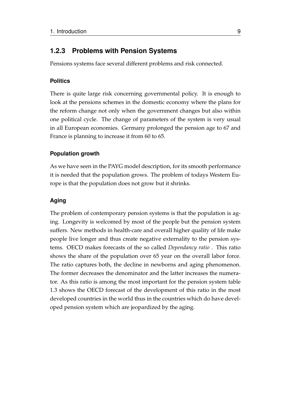### <span id="page-19-0"></span>**1.2.3 Problems with Pension Systems**

Pensions systems face several different problems and risk connected.

#### **Politics**

There is quite large risk concerning governmental policy. It is enough to look at the pensions schemes in the domestic economy where the plans for the reform change not only when the government changes but also within one political cycle. The change of parameters of the system is very usual in all European economies. Germany prolonged the pension age to 67 and France is planning to increase it from 60 to 65.

#### **Population growth**

As we have seen in the PAYG model description, for its smooth performance it is needed that the population grows. The problem of todays Western Europe is that the population does not grow but it shrinks.

#### **Aging**

The problem of contemporary pension systems is that the population is aging. Longevity is welcomed by most of the people but the pension system suffers. New methods in health-care and overall higher quality of life make people live longer and thus create negative externality to the pension systems. OECD makes forecasts of the so called *Dependancy ratio* . This ratio shows the share of the population over 65 year on the overall labor force. The ratio captures both, the decline in newborns and aging phenomenon. The former decreases the denominator and the latter increases the numerator. As this ratio is among the most important for the pension system table [1.3](#page-20-0) shows the OECD forecast of the development of this ratio in the most developed countries in the world thus in the countries which do have developed pension system which are jeopardized by the aging.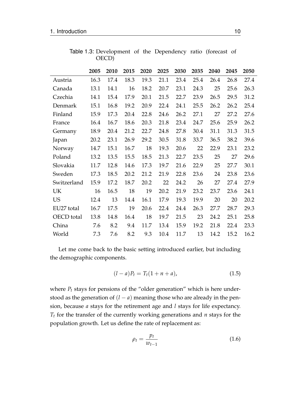<span id="page-20-0"></span>

|             | 2005 | 2010 | 2015 | 2020 | 2025 | 2030 | 2035 | 2040 | 2045 | 2050 |
|-------------|------|------|------|------|------|------|------|------|------|------|
| Austria     | 16.3 | 17.4 | 18.3 | 19.3 | 21.1 | 23.4 | 25.4 | 26.4 | 26.8 | 27.4 |
| Canada      | 13.1 | 14.1 | 16   | 18.2 | 20.7 | 23.1 | 24.3 | 25   | 25.6 | 26.3 |
| Czechia     | 14.1 | 15.4 | 17.9 | 20.1 | 21.5 | 22.7 | 23.9 | 26.5 | 29.5 | 31.2 |
| Denmark     | 15.1 | 16.8 | 19.2 | 20.9 | 22.4 | 24.1 | 25.5 | 26.2 | 26.2 | 25.4 |
| Finland     | 15.9 | 17.3 | 20.4 | 22.8 | 24.6 | 26.2 | 27.1 | 27   | 27.2 | 27.6 |
| France      | 16.4 | 16.7 | 18.6 | 20.3 | 21.8 | 23.4 | 24.7 | 25.6 | 25.9 | 26.2 |
| Germany     | 18.9 | 20.4 | 21.2 | 22.7 | 24.8 | 27.8 | 30.4 | 31.1 | 31.3 | 31.5 |
| Japan       | 20.2 | 23.1 | 26.9 | 29.2 | 30.5 | 31.8 | 33.7 | 36.5 | 38.2 | 39.6 |
| Norway      | 14.7 | 15.1 | 16.7 | 18   | 19.3 | 20.6 | 22   | 22.9 | 23.1 | 23.2 |
| Poland      | 13.2 | 13.5 | 15.5 | 18.5 | 21.3 | 22.7 | 23.5 | 25   | 27   | 29.6 |
| Slovakia    | 11.7 | 12.8 | 14.6 | 17.3 | 19.7 | 21.6 | 22.9 | 25   | 27.7 | 30.1 |
| Sweden      | 17.3 | 18.5 | 20.2 | 21.2 | 21.9 | 22.8 | 23.6 | 24   | 23.8 | 23.6 |
| Switzerland | 15.9 | 17.2 | 18.7 | 20.2 | 22   | 24.2 | 26   | 27   | 27.4 | 27.9 |
| UK          | 16   | 16.5 | 18   | 19   | 20.2 | 21.9 | 23.2 | 23.7 | 23.6 | 24.1 |
| <b>US</b>   | 12.4 | 13   | 14.4 | 16.1 | 17.9 | 19.3 | 19.9 | 20   | 20   | 20.2 |
| EU27 total  | 16.7 | 17.5 | 19   | 20.6 | 22.4 | 24.4 | 26.3 | 27.7 | 28.7 | 29.3 |
| OECD total  | 13.8 | 14.8 | 16.4 | 18   | 19.7 | 21.5 | 23   | 24.2 | 25.1 | 25.8 |
| China       | 7.6  | 8.2  | 9.4  | 11.7 | 13.4 | 15.9 | 19.2 | 21.8 | 22.4 | 23.3 |
| World       | 7.3  | 7.6  | 8.2  | 9.3  | 10.4 | 11.7 | 13   | 14.2 | 15.2 | 16.2 |

Table 1.3: Development of the Dependency ratio (forecast of OECD)

Let me come back to the basic setting introduced earlier, but including the demographic components.

$$
(l-a)P_t = T_t(1 + n + a), \t\t(1.5)
$$

where  $P_t$  stays for pensions of the "older generation" which is here understood as the generation of  $(l - a)$  meaning those who are already in the pension, because *a* stays for the retirement age and *l* stays for life expectancy. *T<sup>t</sup>* for the transfer of the currently working generations and *n* stays for the population growth. Let us define the rate of replacement as:

$$
\rho_t = \frac{p_t}{w_{t-1}} \tag{1.6}
$$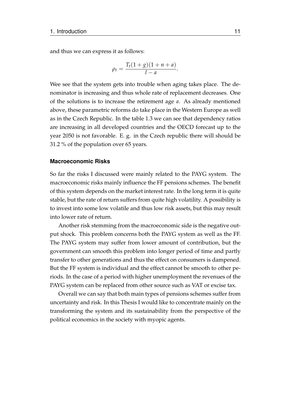and thus we can express it as follows:

$$
\rho_t = \frac{T_t(1+g)(1+n+a)}{1-a}.
$$

Wee see that the system gets into trouble when aging takes place. The denominator is increasing and thus whole rate of replacement decreases. One of the solutions is to increase the retirement age *a*. As already mentioned above, these parametric reforms do take place in the Western Europe as well as in the Czech Republic. In the table [1.3](#page-20-0) we can see that dependency ratios are increasing in all developed countries and the OECD forecast up to the year 2050 is not favorable. E. g. in the Czech republic there will should be 31.2 % of the population over 65 years.

#### **Macroeconomic Risks**

So far the risks I discussed were mainly related to the PAYG system. The macroeconomic risks mainly influence the FF pensions schemes. The benefit of this system depends on the market interest rate. In the long term it is quite stable, but the rate of return suffers from quite high volatility. A possibility is to invest into some low volatile and thus low risk assets, but this may result into lower rate of return.

Another risk stemming from the macroeconomic side is the negative output shock. This problem concerns both the PAYG system as well as the FF. The PAYG system may suffer from lower amount of contribution, but the government can smooth this problem into longer period of time and partly transfer to other generations and thus the effect on consumers is dampened. But the FF system is individual and the effect cannot be smooth to other periods. In the case of a period with higher unemployment the revenues of the PAYG system can be replaced from other source such as VAT or excise tax.

Overall we can say that both main types of pensions schemes suffer from uncertainty and risk. In this Thesis I would like to concentrate mainly on the transforming the system and its sustainability from the perspective of the political economics in the society with myopic agents.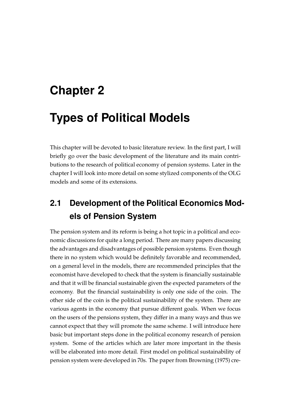# <span id="page-22-0"></span>**Chapter 2**

# **Types of Political Models**

This chapter will be devoted to basic literature review. In the first part, I will briefly go over the basic development of the literature and its main contributions to the research of political economy of pension systems. Later in the chapter I will look into more detail on some stylized components of the OLG models and some of its extensions.

## <span id="page-22-1"></span>**2.1 Development of the Political Economics Models of Pension System**

The pension system and its reform is being a hot topic in a political and economic discussions for quite a long period. There are many papers discussing the advantages and disadvantages of possible pension systems. Even though there in no system which would be definitely favorable and recommended, on a general level in the models, there are recommended principles that the economist have developed to check that the system is financially sustainable and that it will be financial sustainable given the expected parameters of the economy. But the financial sustainability is only one side of the coin. The other side of the coin is the political sustainability of the system. There are various agents in the economy that pursue different goals. When we focus on the users of the pensions system, they differ in a many ways and thus we cannot expect that they will promote the same scheme. I will introduce here basic but important steps done in the political economy research of pension system. Some of the articles which are later more important in the thesis will be elaborated into more detail. First model on political sustainability of pension system were developed in 70s. The paper from [Browning](#page-74-2) [\(1975\)](#page-74-2) cre-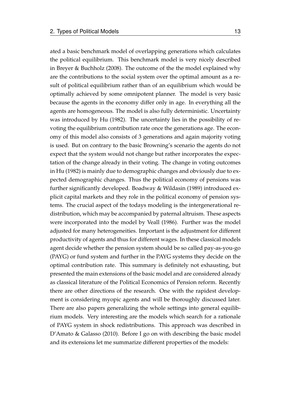ated a basic benchmark model of overlapping generations which calculates the political equilibrium. This benchmark model is very nicely described in [Breyer & Buchholz](#page-74-3) [\(2008\)](#page-74-3). The outcome of the the model explained why are the contributions to the social system over the optimal amount as a result of political equilibrium rather than of an equilibrium which would be optimally achieved by some omnipotent planner. The model is very basic because the agents in the economy differ only in age. In everything all the agents are homogeneous. The model is also fully deterministic. Uncertainty was introduced by [Hu](#page-75-1) [\(1982\)](#page-75-1). The uncertainty lies in the possibility of revoting the equilibrium contribution rate once the generations age. The economy of this model also consists of 3 generations and again majority voting is used. But on contrary to the basic Browning's scenario the agents do not expect that the system would not change but rather incorporates the expectation of the change already in their voting. The change in voting outcomes in [Hu](#page-75-1) [\(1982\)](#page-75-1) is mainly due to demographic changes and obviously due to expected demographic changes. Thus the political economy of pensions was further significantly developed. [Boadway & Wildasin](#page-74-4) [\(1989\)](#page-74-4) introduced explicit capital markets and they role in the political economy of pension systems. The crucial aspect of the todays modeling is the intergenerational redistribution, which may be accompanied by paternal altruism. These aspects were incorporated into the model by [Veall](#page-76-2) [\(1986\)](#page-76-2). Further was the model adjusted for many heterogeneities. Important is the adjustment for different productivity of agents and thus for different wages. In these classical models agent decide whether the pension system should be so called pay-as-you-go (PAYG) or fund system and further in the PAYG systems they decide on the optimal contribution rate. This summary is definitely not exhausting, but presented the main extensions of the basic model and are considered already as classical literature of the Political Economics of Pension reform. Recently there are other directions of the research. One with the rapidest development is considering myopic agents and will be thoroughly discussed later. There are also papers generalizing the whole settings into general equilibrium models. Very interesting are the models which search for a rationale of PAYG system in shock redistributions. This approach was described in [D'Amato & Galasso](#page-75-2) [\(2010\)](#page-75-2). Before I go on with describing the basic model and its extensions let me summarize different properties of the models: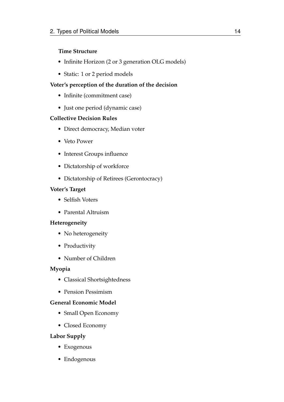### **Time Structure**

- Infinite Horizon (2 or 3 generation OLG models)
- Static: 1 or 2 period models

### **Voter's perception of the duration of the decision**

- Infinite (commitment case)
- Just one period (dynamic case)

### **Collective Decision Rules**

- Direct democracy, Median voter
- Veto Power
- Interest Groups influence
- Dictatorship of workforce
- Dictatorship of Retirees (Gerontocracy)

### **Voter's Target**

- Selfish Voters
- Parental Altruism

### **Heterogeneity**

- No heterogeneity
- Productivity
- Number of Children

### **Myopia**

- Classical Shortsightedness
- Pension Pessimism

### **General Economic Model**

- Small Open Economy
- Closed Economy

### **Labor Supply**

- Exogenous
- Endogenous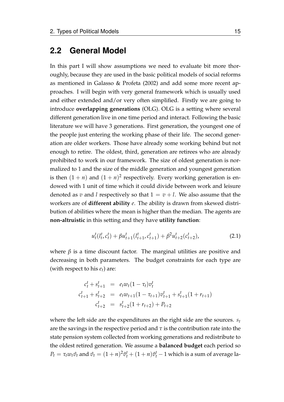### <span id="page-25-0"></span>**2.2 General Model**

In this part I will show assumptions we need to evaluate bit more thoroughly, because they are used in the basic political models of social reforms as mentioned in [Galasso & Profeta](#page-75-3) [\(2002\)](#page-75-3) and add some more recent approaches. I will begin with very general framework which is usually used and either extended and/or very often simplified. Firstly we are going to introduce **overlapping generations** (OLG). OLG is a setting where several different generation live in one time period and interact. Following the basic literature we will have 3 generations. First generation, the youngest one of the people just entering the working phase of their life. The second generation are older workers. Those have already some working behind but not enough to retire. The oldest, third, generation are retirees who are already prohibited to work in our framework. The size of oldest generation is normalized to 1 and the size of the middle generation and youngest generation is then  $(1 + n)$  and  $(1 + n)^2$  respectively. Every working generation is endowed with 1 unit of time which it could divide between work and leisure denoted as *v* and *l* respectively so that  $1 = v + l$ . We also assume that the workers are of **different ability** *e*. The ability is drawn from skewed distribution of abilities where the mean is higher than the median. The agents are **non-altruistic** in this setting and they have **utility function**:

$$
u_t^t(l_t^t, c_t^t) + \beta u_{t+1}^t(l_{t+1}^t, c_{t+1}^t) + \beta^2 u_{t+2}^t(c_{t+2}^t), \tag{2.1}
$$

where  $\beta$  is a time discount factor. The marginal utilities are positive and decreasing in both parameters. The budget constraints for each type are (with respect to his *et*) are:

$$
c_t^t + s_{t+1}^t = e_t w_t (1 - \tau_t) v_t^t
$$
  
\n
$$
c_{t+1}^t + s_{t+2}^t = e_t w_{t+1} (1 - \tau_{t+1}) v_{t+1}^t + s_{t+1}^t (1 + r_{t+1})
$$
  
\n
$$
c_{t+2}^t = s_{t+2}^t (1 + r_{t+2}) + P_{t+2}
$$

where the left side are the expenditures an the right side are the sources. *s<sup>t</sup>* are the savings in the respective period and  $\tau$  is the contribution rate into the state pension system collected from working generations and redistribute to the oldest retired generation. We assume a **balanced budget** each period so  $P_t = \tau_t w_t \hat{v}_t$  and  $\hat{v}_t = (1 + n)^2 \hat{v}_t^t + (1 + n) \hat{v}_t^t - 1$  which is a sum of average la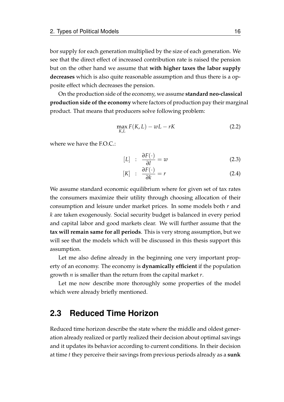bor supply for each generation multiplied by the size of each generation. We see that the direct effect of increased contribution rate is raised the pension but on the other hand we assume that **with higher taxes the labor supply decreases** which is also quite reasonable assumption and thus there is a opposite effect which decreases the pension.

On the production side of the economy, we assume **standard neo-classical production side of the economy** where factors of production pay their marginal product. That means that producers solve following problem:

$$
\max_{K,L} F(K,L) - wL - rK \tag{2.2}
$$

where we have the F.O.C.:

$$
[L] : \frac{\partial F(\cdot)}{\partial l} = w \tag{2.3}
$$

$$
[K] : \frac{\partial F(\cdot)}{\partial k} = r \tag{2.4}
$$

We assume standard economic equilibrium where for given set of tax rates the consumers maximize their utility through choosing allocation of their consumption and leisure under market prices. In some models both *r* and *k* are taken exogenously. Social security budget is balanced in every period and capital labor and good markets clear. We will further assume that the **tax will remain same for all periods**. This is very strong assumption, but we will see that the models which will be discussed in this thesis support this assumption.

Let me also define already in the beginning one very important property of an economy. The economy is **dynamically efficient** if the population growth *n* is smaller than the return from the capital market *r*.

Let me now describe more thoroughly some properties of the model which were already briefly mentioned.

### <span id="page-26-0"></span>**2.3 Reduced Time Horizon**

Reduced time horizon describe the state where the middle and oldest generation already realized or partly realized their decision about optimal savings and it updates its behavior according to current conditions. In their decision at time *t* they perceive their savings from previous periods already as a **sunk**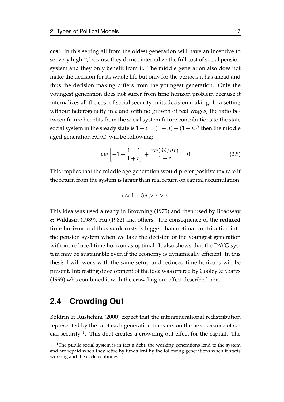**cost**. In this setting all from the oldest generation will have an incentive to set very high *τ*, because they do not internalize the full cost of social pension system and they only benefit from it. The middle generation also does not make the decision for its whole life but only for the periods it has ahead and thus the decision making differs from the youngest generation. Only the youngest generation does not suffer from time horizon problem because it internalizes all the cost of social security in its decision making. In a setting without heterogeneity in *e* and with no growth of real wages, the ratio between future benefits from the social system future contributions to the state social system in the steady state is  $1 + i = (1 + n) + (1 + n)^2$  then the middle aged generation F.O.C. will be following:

$$
vw\left[-1+\frac{1+i}{1+r}\right]+\frac{\tau w(\partial\hat{v}/\partial\tau)}{1+r}=0
$$
\n(2.5)

This implies that the middle age generation would prefer positive tax rate if the return from the system is larger than real return on capital accumulation:

$$
i \approx 1 + 3n > r > n
$$

This idea was used already in [Browning](#page-74-2) [\(1975\)](#page-74-2) and then used by [Boadway](#page-74-4) [& Wildasin](#page-74-4) [\(1989\)](#page-74-4), [Hu](#page-75-1) [\(1982\)](#page-75-1) and others. The consequence of the **reduced time horizon** and thus **sunk costs** is bigger than optimal contribution into the pension system when we take the decision of the youngest generation without reduced time horizon as optimal. It also shows that the PAYG system may be sustainable even if the economy is dynamically efficient. In this thesis I will work with the same setup and reduced time horizons will be present. Interesting development of the idea was offered by [Cooley & Soares](#page-74-5) [\(1999\)](#page-74-5) who combined it with the crowding out effect described next.

### <span id="page-27-0"></span>**2.4 Crowding Out**

[Boldrin & Rustichini](#page-74-6) [\(2000\)](#page-74-6) expect that the intergenerational redistribution represented by the debt each generation transfers on the next because of so-cial security <sup>[1](#page-27-1)</sup>. This debt creates a crowding out effect for the capital. The

<span id="page-27-1"></span><sup>&</sup>lt;sup>1</sup>The public social system is in fact a debt, the working generations lend to the system and are repaid when they retire by funds lent by the following generations when it starts working and the cycle continues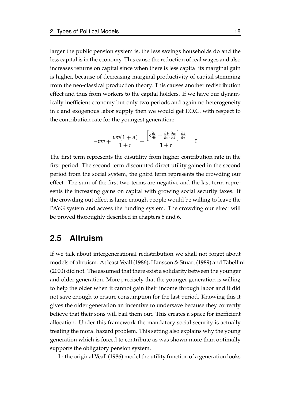larger the public pension system is, the less savings households do and the less capital is in the economy. This cause the reduction of real wages and also increases returns on capital since when there is less capital its marginal gain is higher, because of decreasing marginal productivity of capital stemming from the neo-classical production theory. This causes another redistribution effect and thus from workers to the capital holders. If we have our dynamically inefficient economy but only two periods and again no heterogeneity in *e* and exogenous labor supply then we would get F.O.C. with respect to the contribution rate for the youngest generation:

$$
-wv + \frac{wv(1+n)}{1+r} + \frac{\left[s\frac{\partial r}{\partial k} + \frac{\partial P}{\partial w}\frac{\partial w}{\partial k}\right]\frac{\partial k}{\partial \tau}}{1+r} = 0
$$

The first term represents the disutility from higher contribution rate in the first period. The second term discounted direct utility gained in the second period from the social system, the ghird term represents the crowding our effect. The sum of the first two terms are negative and the last term represents the increasing gains on capital with growing social security taxes. If the crowding out effect is large enough people would be willing to leave the PAYG system and access the funding system. The crowding our effect will be proved thoroughly described in chapters 5 and 6.

### <span id="page-28-0"></span>**2.5 Altruism**

If we talk about intergenerational redistribution we shall not forget about models of altruism. At least [Veall](#page-76-2) [\(1986\)](#page-76-2), [Hansson & Stuart](#page-75-4) [\(1989\)](#page-75-4) and [Tabellini](#page-76-3) [\(2000\)](#page-76-3) did not. The assumed that there exist a solidarity between the younger and older generation. More precisely that the younger generation is willing to help the older when it cannot gain their income through labor and it did not save enough to ensure consumption for the last period. Knowing this it gives the older generation an incentive to undersave because they correctly believe that their sons will bail them out. This creates a space for inefficient allocation. Under this framework the mandatory social security is actually treating the moral hazard problem. This setting also explains why the young generation which is forced to contribute as was shown more than optimally supports the obligatory pension system.

In the original [Veall](#page-76-2) [\(1986\)](#page-76-2) model the utility function of a generation looks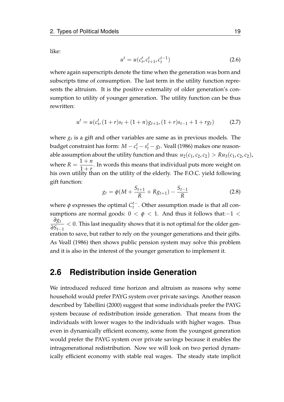like:

$$
u^t = u(c_t^t, c_{t+1}^t, c_t^{t-1})
$$
\n(2.6)

where again superscripts denote the time when the generation was born and subscripts time of consumption. The last term in the utility function represents the altruism. It is the positive externality of older generation's consumption to utility of younger generation. The utility function can be thus rewritten:

$$
u^{t} = u(c_{t}^{t}, (1+r)s_{t} + (1+n)g_{t+1}, (1+r)s_{t-1} + 1 + rg_{t})
$$
\n(2.7)

where  $g_t$  is a gift and other variables are same as in previous models. The budget constraint has form:  $M - c_t^t - s_t^t - g_t$ . Veall (1986) makes one reasonable assumption about the utility function and thus:  $u_2(c_1, c_2, c_2) > Ru_3(c_1, c_2, c_2)$ , where  $R =$  $1 + n$  $\frac{1}{1 + r}$ . In words this means that individual puts more weight on his own utility than on the utility of the elderly. The F.O.C. yield following gift function:

$$
g_t = \phi(M + \frac{S_{t+1}}{R} + Rg_{t+1}) - \frac{S_{t-1}}{R}
$$
 (2.8)

where  $\phi$  expresses the optimal  $C_t^{t-1}$ *t* . Other assumption made is that all consumptions are normal goods:  $0 < \phi < 1$ . And thus it follows that:-1 < *∂g<sup>t</sup> ∂St*−<sup>1</sup>  $<$  0. This last inequality shows that it is not optimal for the older generation to save, but rather to rely on the younger generations and their gifts. As [Veall](#page-76-2) [\(1986\)](#page-76-2) then shows public pension system may solve this problem and it is also in the interest of the younger generation to implement it.

### <span id="page-29-0"></span>**2.6 Redistribution inside Generation**

We introduced reduced time horizon and altruism as reasons why some household would prefer PAYG system over private savings. Another reason described by [Tabellini](#page-76-3) [\(2000\)](#page-76-3) suggest that some individuals prefer the PAYG system because of redistribution inside generation. That means from the individuals with lower wages to the individuals with higher wages. Thus even in dynamically efficient economy, some from the youngest generation would prefer the PAYG system over private savings because it enables the intragenerational redistribution. Now we will look on two period dynamically efficient economy with stable real wages. The steady state implicit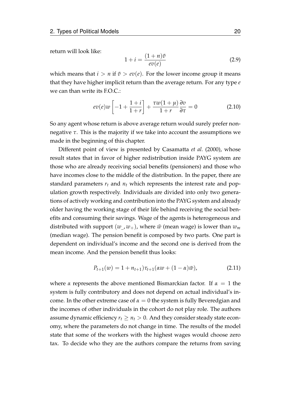return will look like:

$$
1 + i = \frac{(1+n)\tilde{v}}{ev(e)}
$$
 (2.9)

which means that  $i > n$  if  $\tilde{v} > ev(e)$ . For the lower income group it means that they have higher implicit return than the average return. For any type *e* we can than write its F.O.C.:

$$
ev(e)w\left[-1+\frac{1+i}{1+r}\right]+\frac{\tau w(1+\mu)}{1+r}\frac{\partial v}{\partial \tau}=0
$$
\n(2.10)

So any agent whose return is above average return would surely prefer nonnegative *τ*. This is the majority if we take into account the assumptions we made in the beginning of this chapter.

Different point of view is presented by [Casamatta](#page-74-7) *et al.* [\(2000\)](#page-74-7), whose result states that in favor of higher redistribution inside PAYG system are those who are already receiving social benefits (pensioners) and those who have incomes close to the middle of the distribution. In the paper, there are standard parameters  $r_t$  and  $n_t$  which represents the interest rate and population growth respectively. Individuals are divided into only two generations of actively working and contribution into the PAYG system and already older having the working stage of their life behind receiving the social benefits and consuming their savings. Wage of the agents is heterogeneous and distributed with support  $(w, w_+)$ , where  $\bar{w}$  (mean wage) is lower than  $w_m$ (median wage). The pension benefit is composed by two parts. One part is dependent on individual's income and the second one is derived from the mean income. And the pension benefit thus looks:

$$
P_{t+1}(w) = 1 + n_{t+1} \gamma_{t+1}(\alpha w + (1 - \alpha)\bar{w}), \qquad (2.11)
$$

where  $\alpha$  represents the above mentioned Bismarckian factor. If  $\alpha = 1$  the system is fully contributory and does not depend on actual individual's income. In the other extreme case of  $\alpha = 0$  the system is fully Beveredgian and the incomes of other individuals in the cohort do not play role. The authors assume dynamic efficiency  $r_t \geq n_t > 0$ . And they consider steady state economy, where the parameters do not change in time. The results of the model state that some of the workers with the highest wages would choose zero tax. To decide who they are the authors compare the returns from saving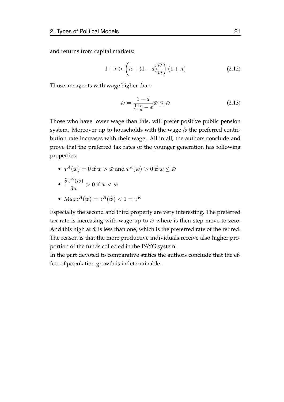and returns from capital markets:

$$
1 + r > \left(\alpha + (1 - \alpha)\frac{\bar{w}}{w}\right)(1 + n) \tag{2.12}
$$

Those are agents with wage higher than:

$$
\hat{w} = \frac{1 - \alpha}{\frac{1 + r}{1 + n} - \alpha} \bar{w} \le \bar{w}
$$
\n(2.13)

Those who have lower wage than this, will prefer positive public pension system. Moreover up to households with the wage  $\hat{w}$  the preferred contribution rate increases with their wage. All in all, the authors conclude and prove that the preferred tax rates of the younger generation has following properties:

•  $\tau^A(w) = 0$  if  $w > \hat{w}$  and  $\tau^A(w) > 0$  if  $w \leq \hat{w}$ 

• 
$$
\frac{\partial \tau^A(w)}{\partial w} > 0 \text{ if } w < \hat{w}
$$

• 
$$
Max\tau^{A}(w) = \tau^{A}(\hat{w}) < 1 = \tau^{R}
$$

Especially the second and third property are very interesting. The preferred tax rate is increasing with wage up to  $\hat{w}$  where is then step move to zero. And this high at  $\hat{w}$  is less than one, which is the preferred rate of the retired. The reason is that the more productive individuals receive also higher proportion of the funds collected in the PAYG system.

In the part devoted to comparative statics the authors conclude that the effect of population growth is indeterminable.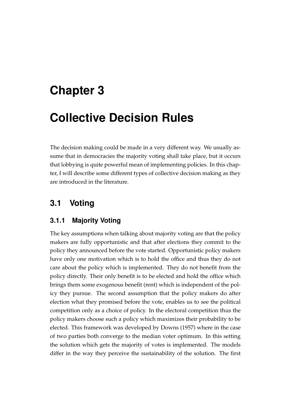## <span id="page-32-0"></span>**Chapter 3**

## **Collective Decision Rules**

The decision making could be made in a very different way. We usually assume that in democracies the majority voting shall take place, but it occurs that lobbying is quite powerful mean of implementing policies. In this chapter, I will describe some different types of collective decision making as they are introduced in the literature.

## <span id="page-32-1"></span>**3.1 Voting**

### <span id="page-32-2"></span>**3.1.1 Majority Voting**

The key assumptions when talking about majority voting are that the policy makers are fully opportunistic and that after elections they commit to the policy they announced before the vote started. Opportunistic policy makers have only one motivation which is to hold the office and thus they do not care about the policy which is implemented. They do not benefit from the policy directly. Their only benefit is to be elected and hold the office which brings them some exogenous benefit (rent) which is independent of the policy they pursue. The second assumption that the policy makers do after election what they promised before the vote, enables us to see the political competition only as a choice of policy. In the electoral competition thus the policy makers choose such a policy which maximizes their probability to be elected. This framework was developed by [Downs](#page-75-5) [\(1957\)](#page-75-5) where in the case of two parties both converge to the median voter optimum. In this setting the solution which gets the majority of votes is implemented. The models differ in the way they perceive the sustainability of the solution. The first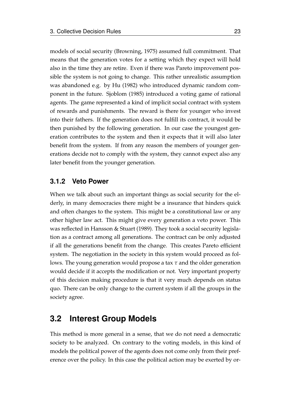models of social security (Browning, 1975) assumed full commitment. That means that the generation votes for a setting which they expect will hold also in the time they are retire. Even if there was Pareto improvement possible the system is not going to change. This rather unrealistic assumption was abandoned e.g. by [Hu](#page-75-1) [\(1982\)](#page-75-1) who introduced dynamic random component in the future. [Sjoblom](#page-76-4) [\(1985\)](#page-76-4) introduced a voting game of rational agents. The game represented a kind of implicit social contract with system of rewards and punishments. The reward is there for younger who invest into their fathers. If the generation does not fulfill its contract, it would be then punished by the following generation. In our case the youngest generation contributes to the system and then it expects that it will also later benefit from the system. If from any reason the members of younger generations decide not to comply with the system, they cannot expect also any later benefit from the younger generation.

### <span id="page-33-0"></span>**3.1.2 Veto Power**

When we talk about such an important things as social security for the elderly, in many democracies there might be a insurance that hinders quick and often changes to the system. This might be a constitutional law or any other higher law act. This might give every generation a veto power. This was reflected in [Hansson & Stuart](#page-75-4) [\(1989\)](#page-75-4). They took a social security legislation as a contract among all generations. The contract can be only adjusted if all the generations benefit from the change. This creates Pareto efficient system. The negotiation in the society in this system would proceed as follows. The young generation would propose a tax *τ* and the older generation would decide if it accepts the modification or not. Very important property of this decision making procedure is that it very much depends on status quo. There can be only change to the current system if all the groups in the society agree.

### <span id="page-33-1"></span>**3.2 Interest Group Models**

This method is more general in a sense, that we do not need a democratic society to be analyzed. On contrary to the voting models, in this kind of models the political power of the agents does not come only from their preference over the policy. In this case the political action may be exerted by or-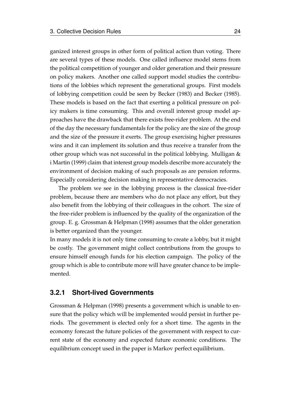ganized interest groups in other form of political action than voting. There are several types of these models. One called influence model stems from the political competition of younger and older generation and their pressure on policy makers. Another one called support model studies the contributions of the lobbies which represent the generational groups. First models of lobbying competition could be seen by [Becker](#page-74-8) [\(1983\)](#page-74-8) and [Becker](#page-74-9) [\(1985\)](#page-74-9). These models is based on the fact that exerting a political pressure on policy makers is time consuming. This and overall interest group model approaches have the drawback that there exists free-rider problem. At the end of the day the necessary fundamentals for the policy are the size of the group and the size of the pressure it exerts. The group exercising higher pressures wins and it can implement its solution and thus receive a transfer from the other group which was not successful in the political lobbying. [Mulligan &](#page-75-6) [i Martin](#page-75-6) [\(1999\)](#page-75-6) claim that interest group models describe more accurately the environment of decision making of such proposals as are pension reforms. Especially considering decision making in representative democracies.

The problem we see in the lobbying process is the classical free-rider problem, because there are members who do not place any effort, but they also benefit from the lobbying of their colleagues in the cohort. The size of the free-rider problem is influenced by the quality of the organization of the group. E. g. [Grossman & Helpman](#page-75-7) [\(1998\)](#page-75-7) assumes that the older generation is better organized than the younger.

In many models it is not only time consuming to create a lobby, but it might be costly. The government might collect contributions from the groups to ensure himself enough funds for his election campaign. The policy of the group which is able to contribute more will have greater chance to be implemented.

### <span id="page-34-0"></span>**3.2.1 Short-lived Governments**

[Grossman & Helpman](#page-75-7) [\(1998\)](#page-75-7) presents a government which is unable to ensure that the policy which will be implemented would persist in further periods. The government is elected only for a short time. The agents in the economy forecast the future policies of the government with respect to current state of the economy and expected future economic conditions. The equilibrium concept used in the paper is Markov perfect equilibrium.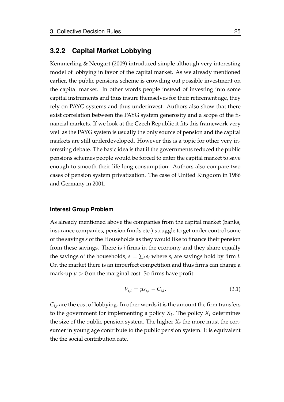### <span id="page-35-0"></span>**3.2.2 Capital Market Lobbying**

[Kemmerling & Neugart](#page-75-8) [\(2009\)](#page-75-8) introduced simple although very interesting model of lobbying in favor of the capital market. As we already mentioned earlier, the public pensions scheme is crowding out possible investment on the capital market. In other words people instead of investing into some capital instruments and thus insure themselves for their retirement age, they rely on PAYG systems and thus underinvest. Authors also show that there exist correlation between the PAYG system generosity and a scope of the financial markets. If we look at the Czech Republic it fits this framework very well as the PAYG system is usually the only source of pension and the capital markets are still underdeveloped. However this is a topic for other very interesting debate. The basic idea is that if the governments reduced the public pensions schemes people would be forced to enter the capital market to save enough to smooth their life long consumption. Authors also compare two cases of pension system privatization. The case of United Kingdom in 1986 and Germany in 2001.

#### **Interest Group Problem**

As already mentioned above the companies from the capital market (banks, insurance companies, pension funds etc.) struggle to get under control some of the savings *s* of the Households as they would like to finance their pension from these savings. There is *i* firms in the economy and they share equally the savings of the households,  $s = \sum_i s_i$  where  $s_i$  are savings hold by firm *i*. On the market there is an imperfect competition and thus firms can charge a mark-up  $\mu > 0$  on the marginal cost. So firms have profit:

$$
V_{i,t} = \mu s_{i,t} - C_{i,t}.
$$
\n(3.1)

 $C_{i,t}$  are the cost of lobbying. In other words it is the amount the firm transfers to the government for implementing a policy  $X_t$ . The policy  $X_t$  determines the size of the public pension system. The higher  $X_t$  the more must the consumer in young age contribute to the public pension system. It is equivalent the the social contribution rate.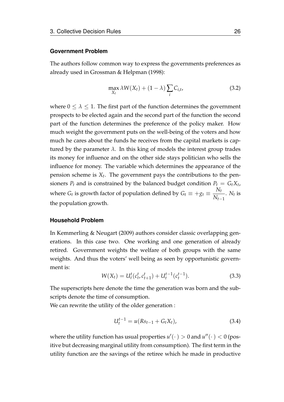#### **Government Problem**

The authors follow common way to express the governments preferences as already used in [Grossman & Helpman](#page-75-0) [\(1998\)](#page-75-0):

$$
\max_{X_t} \lambda W(X_t) + (1 - \lambda) \sum_i C_{i,t},
$$
\n(3.2)

where  $0 \leq \lambda \leq 1$ . The first part of the function determines the government prospects to be elected again and the second part of the function the second part of the function determines the preference of the policy maker. How much weight the government puts on the well-being of the voters and how much he cares about the funds he receives from the capital markets is captured by the parameter  $λ$ . In this king of models the interest group trades its money for influence and on the other side stays politician who sells the influence for money. The variable which determines the appearance of the pension scheme is *X<sup>t</sup>* . The government pays the contributions to the pensioners  $P_t$  and is constrained by the balanced budget condition  $P_t = G_t X_t$ , where  $G_t$  is growth factor of population defined by  $G_t \equiv +g_t \equiv \frac{N_t}{N}$ *Nt*−<sup>1</sup> .  $N_t$  is the population growth.

#### **Household Problem**

In [Kemmerling & Neugart](#page-75-1) [\(2009\)](#page-75-1) authors consider classic overlapping generations. In this case two. One working and one generation of already retired. Government weights the welfare of both groups with the same weights. And thus the voters' well being as seen by opportunistic government is:

$$
W(X_t) = U_t^t(c_t^t, c_{t+1}^t) + U_t^{t-1}(c_t^{t-1}).
$$
\n(3.3)

The superscripts here denote the time the generation was born and the subscripts denote the time of consumption.

We can rewrite the utility of the older generation :

$$
U_t^{t-1} = u(Rs_{t-1} + G_t X_t), \tag{3.4}
$$

where the utility function has usual properties  $u'(\cdot) > 0$  and  $u''(\cdot) < 0$  (positive but decreasing marginal utility from consumption). The first term in the utility function are the savings of the retiree which he made in productive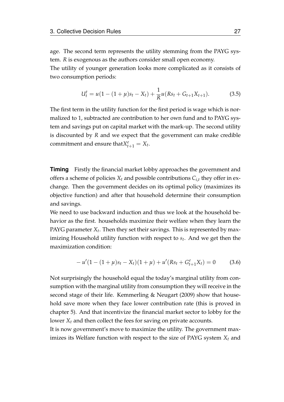age. The second term represents the utility stemming from the PAYG system. *R* is exogenous as the authors consider small open economy. The utility of younger generation looks more complicated as it consists of two consumption periods:

$$
U_t^t = u(1 - (1 + \mu)s_t - X_t) + \frac{1}{R}u(Rs_t + G_{t+1}X_{t+1}).
$$
\n(3.5)

The first term in the utility function for the first period is wage which is normalized to 1, subtracted are contribution to her own fund and to PAYG system and savings put on capital market with the mark-up. The second utility is discounted by *R* and we expect that the government can make credible commitment and ensure that  $X_{t+1}^e = X_t$ .

**Timing** Firstly the financial market lobby approaches the government and offers a scheme of policies  $X_t$  and possible contributions  $C_{i,t}$  they offer in exchange. Then the government decides on its optimal policy (maximizes its objective function) and after that household determine their consumption and savings.

We need to use backward induction and thus we look at the household behavior as the first. households maximize their welfare when they learn the PAYG parameter  $X_t$ . Then they set their savings. This is represented by maximizing Household utility function with respect to *s<sup>t</sup>* . And we get then the maximization condition:

$$
-u'(1-(1+\mu)s_t - X_t)(1+\mu) + u'(Rs_t + G_{t+1}^e X_t) = 0 \qquad (3.6)
$$

Not surprisingly the household equal the today's marginal utility from consumption with the marginal utility from consumption they will receive in the second stage of their life. [Kemmerling & Neugart](#page-75-1) [\(2009\)](#page-75-1) show that household save more when they face lower contribution rate (this is proved in chapter 5). And that incentivize the financial market sector to lobby for the lower *X<sup>t</sup>* and then collect the fees for saving on private accounts.

It is now government's move to maximize the utility. The government maximizes its Welfare function with respect to the size of PAYG system *X<sup>t</sup>* and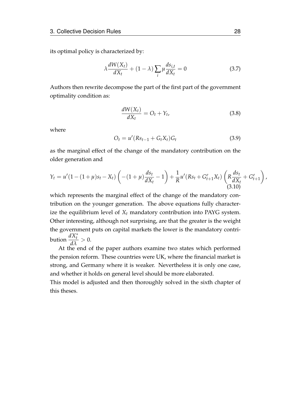its optimal policy is characterized by:

$$
\lambda \frac{dW(X_t)}{dX_t} + (1 - \lambda) \sum_i \mu \frac{ds_{i,t}}{dX_t} = 0
$$
\n(3.7)

Authors then rewrite decompose the part of the first part of the government optimality condition as:

$$
\frac{dW(X_t)}{dX_t} = O_t + Y_t, \tag{3.8}
$$

where

$$
O_t = u'(Rs_{t-1} + G_t X_t)G_t
$$
\n(3.9)

as the marginal effect of the change of the mandatory contribution on the older generation and

$$
Y_t = u'(1 - (1 + \mu)s_t - X_t) \left( -(1 + \mu) \frac{ds_t}{dX_t} - 1 \right) + \frac{1}{R} u'(Rs_t + G_{t+1}^e X_t) \left( R \frac{ds_t}{dX_t} + G_{t+1}^e \right),
$$
\n(3.10)

which represents the marginal effect of the change of the mandatory contribution on the younger generation. The above equations fully characterize the equilibrium level of *X<sup>t</sup>* mandatory contribution into PAYG system. Other interesting, although not surprising, are that the greater is the weight the government puts on capital markets the lower is the mandatory contribution  $\frac{dX_t^*}{dt}$  $> 0.$ 

*dλ* At the end of the paper authors examine two states which performed the pension reform. These countries were UK, where the financial market is strong, and Germany where it is weaker. Nevertheless it is only one case, and whether it holds on general level should be more elaborated.

This model is adjusted and then thoroughly solved in the sixth chapter of this theses.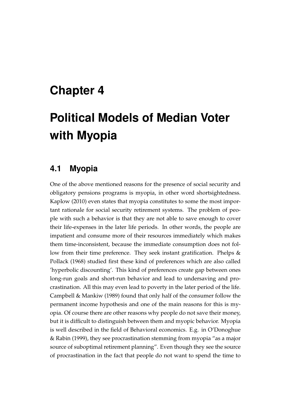# **Chapter 4**

# **Political Models of Median Voter with Myopia**

# **4.1 Myopia**

One of the above mentioned reasons for the presence of social security and obligatory pensions programs is myopia, in other word shortsightedness. [Kaplow](#page-75-2) [\(2010\)](#page-75-2) even states that myopia constitutes to some the most important rationale for social security retirement systems. The problem of people with such a behavior is that they are not able to save enough to cover their life-expenses in the later life periods. In other words, the people are impatient and consume more of their resources immediately which makes them time-inconsistent, because the immediate consumption does not fol-low from their time preference. They seek instant gratification. [Phelps &](#page-76-0) [Pollack](#page-76-0) [\(1968\)](#page-76-0) studied first these kind of preferences which are also called 'hyperbolic discounting'. This kind of preferences create gap between ones long-run goals and short-run behavior and lead to undersaving and procrastination. All this may even lead to poverty in the later period of the life. [Campbell & Mankiw](#page-74-0) [\(1989\)](#page-74-0) found that only half of the consumer follow the permanent income hypothesis and one of the main reasons for this is myopia. Of course there are other reasons why people do not save their money, but it is difficult to distinguish between them and myopic behavior. Myopia is well described in the field of Behavioral economics. E.g. in [O'Donoghue](#page-75-3) [& Rabin](#page-75-3) [\(1999\)](#page-75-3), they see procrastination stemming from myopia "as a major source of suboptimal retirement planning". Even though they see the source of procrastination in the fact that people do not want to spend the time to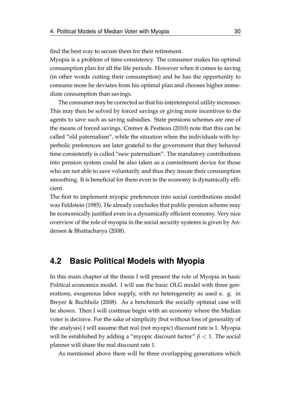find the best way to secure them for their retirement.

Myopia is a problem of time-consistency. The consumer makes his optimal consumption plan for all the life periods. However when it comes to saving (in other words cutting their consumption) and he has the opportunity to consume more he deviates from his optimal plan and chooses higher immediate consumption than savings.

The consumer may be corrected so that his intertemporal utility increases. This may then be solved by forced savings or giving more incentives to the agents to save such as saving subsidies. State pensions schemes are one of the means of forced savings. [Cremer & Pestieau](#page-75-4) [\(2010\)](#page-75-4) note that this can be called "old paternalism", while the situation when the individuals with hyperbolic preferences are later grateful to the government that they behaved time consistently is called "new paternalism". The mandatory contributions into pension system could be also taken as a commitment device for those who are not able to save voluntarily and thus they insure their consumption smoothing. It is beneficial for them even in the economy is dynamically efficient.

The first to implement myopic preferences into social contributions model was [Feldstein](#page-75-5) [\(1985\)](#page-75-5). He already concludes that public pension scheme may be economically justified even in a dynamically efficient economy. Very nice overview of the role of myopia in the social security systems is given by [An](#page-74-1)[dersen & Bhattacharya](#page-74-1) [\(2008\)](#page-74-1).

## **4.2 Basic Political Models with Myopia**

In this main chapter of the thesis I will present the role of Myopia in basic Political economics model. I will use the basic OLG model with three generations, exogenous labor supply, with no heterogeneity as used e. g. in [Breyer & Buchholz](#page-74-2) [\(2008\)](#page-74-2). As a benchmark the socially optimal case will be shown. Then I will continue begin with an economy where the Median voter is decisive. For the sake of simplicity (but without loss of generality of the analysis) I will assume that real (not myopic) discount rate is 1. Myopia will be established by adding a "myopic discount factor" *β* < 1. The social planner will share the real discount rate 1.

As mentioned above there will be three overlapping generations which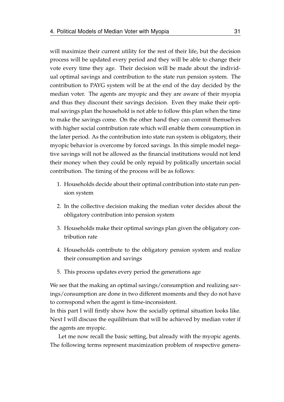will maximize their current utility for the rest of their life, but the decision process will be updated every period and they will be able to change their vote every time they age. Their decision will be made about the individual optimal savings and contribution to the state run pension system. The contribution to PAYG system will be at the end of the day decided by the median voter. The agents are myopic and they are aware of their myopia and thus they discount their savings decision. Even they make their optimal savings plan the household is not able to follow this plan when the time to make the savings come. On the other hand they can commit themselves with higher social contribution rate which will enable them consumption in the later period. As the contribution into state run system is obligatory, their myopic behavior is overcome by forced savings. In this simple model negative savings will not be allowed as the financial institutions would not lend their money when they could be only repaid by politically uncertain social contribution. The timing of the process will be as follows:

- 1. Households decide about their optimal contribution into state run pension system
- 2. In the collective decision making the median voter decides about the obligatory contribution into pension system
- 3. Households make their optimal savings plan given the obligatory contribution rate
- 4. Households contribute to the obligatory pension system and realize their consumption and savings
- 5. This process updates every period the generations age

We see that the making an optimal savings/consumption and realizing savings/consumption are done in two different moments and they do not have to correspond when the agent is time-inconsistent.

In this part I will firstly show how the socially optimal situation looks like. Next I will discuss the equilibrium that will be achieved by median voter if the agents are myopic.

Let me now recall the basic setting, but already with the myopic agents. The following terms represent maximization problem of respective genera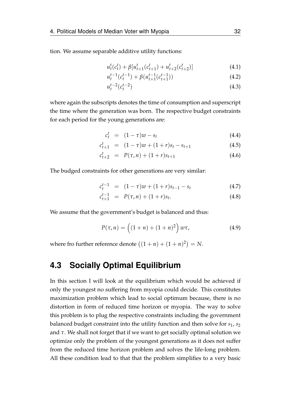tion. We assume separable additive utility functions:

$$
u_t^t(c_t^t) + \beta [u_{t+1}^t(c_{t+1}^t) + u_{t+2}^t(c_{t+2}^t)] \tag{4.1}
$$

$$
u_t^{t-1}(c_t^{t-1}) + \beta(u_{t+1}^{t-1}(c_{t+1}^{t-1})) \tag{4.2}
$$

$$
u_t^{t-2}(c_t^{t-2})\tag{4.3}
$$

where again the subscripts denotes the time of consumption and superscript the time where the generation was born. The respective budget constraints for each period for the young generations are:

$$
c_t^t = (1 - \tau)w - s_t \tag{4.4}
$$

$$
c_{t+1}^t = (1 - \tau)w + (1 + r)s_t - s_{t+1}
$$
\n(4.5)

$$
c_{t+2}^t = P(\tau, n) + (1+r)s_{t+1}
$$
\n(4.6)

The budged constraints for other generations are very similar:

$$
c_t^{t-1} = (1 - \tau)w + (1 + r)s_{t-1} - s_t \tag{4.7}
$$

$$
c_{t+1}^{t-1} = P(\tau, n) + (1+r)s_t.
$$
 (4.8)

We assume that the government's budget is balanced and thus:

$$
P(\tau, n) = ((1 + n) + (1 + n)^2) w\tau,
$$
 (4.9)

where fro further reference denote  $((1 + n) + (1 + n)^2) = N$ .

# **4.3 Socially Optimal Equilibrium**

In this section I will look at the equilibrium which would be achieved if only the youngest no suffering from myopia could decide. This constitutes maximization problem which lead to social optimum because, there is no distortion in form of reduced time horizon or myopia. The way to solve this problem is to plug the respective constraints including the government balanced budget constraint into the utility function and then solve for *s*1, *s*<sup>2</sup> and *τ*. We shall not forget that if we want to get socially optimal solution we optimize only the problem of the youngest generations as it does not suffer from the reduced time horizon problem and solves the life-long problem. All these condition lead to that that the problem simplifies to a very basic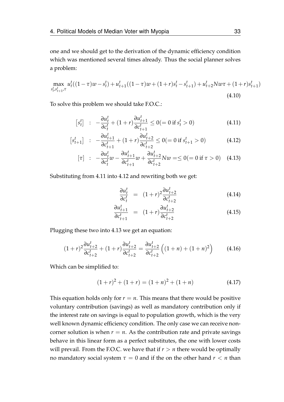one and we should get to the derivation of the dynamic efficiency condition which was mentioned several times already. Thus the social planner solves a problem:

$$
\max_{s_t^t, s_{t+1}^t, \tau} u_t^t ((1 - \tau)w - s_t^t) + u_{t+1}^t ((1 - \tau)w + (1 + r)s_t^t - s_{t+1}^t) + u_{t+2}^t Nw\tau + (1 + r)s_{t+1}^t)
$$
\n(4.10)

To solve this problem we should take F.O.C.:

<span id="page-43-0"></span>
$$
[s_t^t] \quad : \quad -\frac{\partial u_t^t}{\partial c_t^t} + (1+r)\frac{\partial u_{t+1}^t}{\partial c_{t+1}^t} \le 0 (= 0 \text{ if } s_t^t > 0) \tag{4.11}
$$

$$
\begin{bmatrix} s_{t+1}^t \end{bmatrix} : -\frac{\partial u_{t+1}^t}{\partial c_{t+1}^t} + (1+r) \frac{\partial u_{t+2}^t}{\partial c_{t+2}^t} \le 0 (= 0 \text{ if } s_{t+1}^t > 0)
$$
 (4.12)

$$
[\tau] : -\frac{\partial u_t^t}{\partial c_t^t} w - \frac{\partial u_{t+1}^t}{\partial c_{t+1}^t} w + \frac{\partial u_{t+2}^t}{\partial c_{t+2}^t} N w = \leq 0 (= 0 \text{ if } \tau > 0) \quad (4.13)
$$

Substituting from [4.11](#page-43-0) into [4.12](#page-43-0) and rewriting both we get:

$$
\frac{\partial u_t^t}{\partial c_t^t} = (1+r)^2 \frac{\partial u_{t+2}^t}{\partial c_{t+2}^t}
$$
(4.14)

$$
\frac{\partial u_{t+1}^t}{\partial c_{t+1}^t} = (1+r) \frac{\partial u_{t+2}^t}{\partial c_{t+2}^t}
$$
\n(4.15)

Plugging these two into [4.13](#page-43-0) we get an equation:

$$
(1+r)^2 \frac{\partial u_{t+2}^t}{\partial c_{t+2}^t} + (1+r) \frac{\partial u_{t+2}^t}{\partial c_{t+2}^t} = \frac{\partial u_{t+2}^t}{\partial c_{t+2}^t} \left( (1+n) + (1+n)^2 \right) \tag{4.16}
$$

Which can be simplified to:

$$
(1+r)^2 + (1+r) = (1+n)^2 + (1+n)
$$
\n(4.17)

This equation holds only for  $r = n$ . This means that there would be positive voluntary contribution (savings) as well as mandatory contribution only if the interest rate on savings is equal to population growth, which is the very well known dynamic efficiency condition. The only case we can receive noncorner solution is when  $r = n$ . As the contribution rate and private savings behave in this linear form as a perfect substitutes, the one with lower costs will prevail. From the F.O.C. we have that if  $r > n$  there would be optimally no mandatory social system  $\tau = 0$  and if the on the other hand  $r < n$  than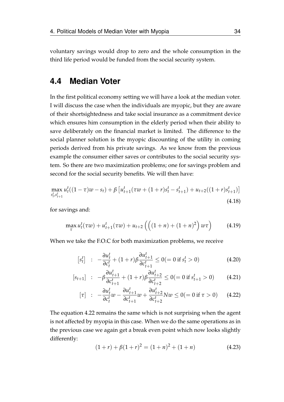voluntary savings would drop to zero and the whole consumption in the third life period would be funded from the social security system.

## **4.4 Median Voter**

In the first political economy setting we will have a look at the median voter. I will discuss the case when the individuals are myopic, but they are aware of their shortsightedness and take social insurance as a commitment device which ensures him consumption in the elderly period when their ability to save deliberately on the financial market is limited. The difference to the social planner solution is the myopic discounting of the utility in coming periods derived from his private savings. As we know from the previous example the consumer either saves or contributes to the social security system. So there are two maximization problems; one for savings problem and second for the social security benefits. We will then have:

$$
\max_{s_t^t, s_{t+1}^t} u_t^t((1-\tau)w - s_t) + \beta \left[ u_{t+1}^t(\tau w + (1+r)s_t^t - s_{t+1}^t) + u_{t+2}((1+r)s_{t+1}^t) \right]
$$
\n(4.18)

for savings and:

$$
\max_{\tau} u_t^t(\tau w) + u_{t+1}^t(\tau w) + u_{t+2} \left( \left( (1+n) + (1+n)^2 \right) w \tau \right) \tag{4.19}
$$

When we take the F.O.C for both maximization problems, we receive

$$
[s_t^t] \quad : \quad -\frac{\partial u_t^t}{\partial c_t^t} + (1+r)\beta \frac{\partial u_{t+1}^t}{\partial c_{t+1}^t} \le 0 (= 0 \text{ if } s_t^t > 0)
$$
\n(4.20)

<span id="page-44-0"></span>
$$
[s_{t+1}] \ : \ -\beta \frac{\partial u_{t+1}^t}{\partial c_{t+1}^t} + (1+r)\beta \frac{\partial u_{t+2}^t}{\partial c_{t+2}^t} \le 0 (= 0 \text{ if } s_{t+1}^t > 0) \qquad (4.21)
$$

$$
[\tau] \quad : \quad -\frac{\partial u_t^t}{\partial c_t^t} w - \frac{\partial u_{t+1}^t}{\partial c_{t+1}^t} w + \frac{\partial u_{t+2}^t}{\partial c_{t+2}^t} N w \le 0 (= 0 \text{ if } \tau > 0) \tag{4.22}
$$

The equation [4.22](#page-44-0) remains the same which is not surprising when the agent is not affected by myopia in this case. When we do the same operations as in the previous case we again get a break even point which now looks slightly differently:

$$
(1+r) + \beta(1+r)^2 = (1+n)^2 + (1+n)
$$
\n(4.23)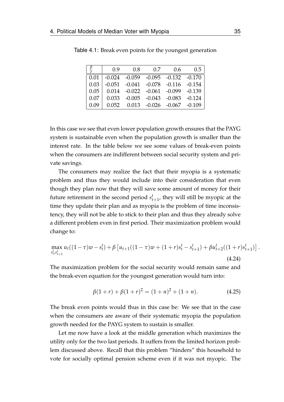|        | 0.9 | 0.8                                                         | 0.7 | 0.6 | 0.5 |
|--------|-----|-------------------------------------------------------------|-----|-----|-----|
|        |     | $\mid 0.01 \mid -0.024$ $-0.059$ $-0.095$ $-0.132$ $-0.170$ |     |     |     |
| 0.03   |     | $\vert$ -0.051 -0.041 -0.078 -0.116 -0.154                  |     |     |     |
|        |     | $0.05$   $0.014$ $-0.022$ $-0.061$ $-0.099$ $-0.139$        |     |     |     |
| $0.07$ |     | $0.033 -0.005 -0.043 -0.083 -0.124$                         |     |     |     |
| 0.09   |     | $0.052$ $0.013$ $-0.026$ $-0.067$ $-0.109$                  |     |     |     |

Table 4.1: Break even points for the youngest generation

In this case we see that even lower population growth ensures that the PAYG system is sustainable even when the population growth is smaller than the interest rate. In the table below we see some values of break-even points when the consumers are indifferent between social security system and private savings.

The consumers may realize the fact that their myopia is a systematic problem and thus they would include into their consideration that even though they plan now that they will save some amount of money for their future retirement in the second period  $s_{t+1}^t$ , they will still be myopic at the time they update their plan and as myopia is the problem of time inconsistency, they will not be able to stick to their plan and thus they already solve a different problem even in first period. Their maximization problem would change to:

$$
\max_{s_t^t, s_{t+1}^t} u_t((1-\tau)w - s_t^t) + \beta \left[ u_{t+1}((1-\tau)w + (1+r)s_t^t - s_{t+1}^t) + \beta u_{t+2}^t((1+r)s_{t+1}^t) \right].
$$
\n(4.24)

The maximization problem for the social security would remain same and the break-even equation for the youngest generation would turn into:

$$
\beta(1+r) + \beta(1+r)^2 = (1+n)^2 + (1+n). \tag{4.25}
$$

The break even points would thus in this case be: We see that in the case when the consumers are aware of their systematic myopia the population growth needed for the PAYG system to sustain is smaller.

Let me now have a look at the middle generation which maximizes the utility only for the two last periods. It suffers from the limited horizon problem discussed above. Recall that this problem "hinders" this household to vote for socially optimal pension scheme even if it was not myopic. The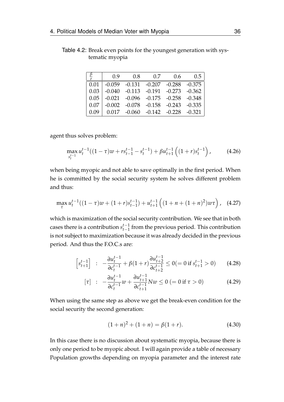| 0.9 | $0.8$ 0.7 0.6 0.5                                     |  |
|-----|-------------------------------------------------------|--|
|     | $0.01$ $-0.059$ $-0.131$ $-0.207$ $-0.288$ $-0.375$   |  |
|     | $0.03$   $-0.040$ $-0.113$ $-0.191$ $-0.273$ $-0.362$ |  |
|     | $0.05$ -0.021 -0.096 -0.175 -0.258 -0.348             |  |
|     | $0.07$   -0.002 -0.078 -0.158 -0.243 -0.335           |  |
|     | $0.09$ 0.017 -0.060 -0.142 -0.228 -0.321              |  |

Table 4.2: Break even points for the youngest generation with systematic myopia

agent thus solves problem:

$$
\max_{s_t^{t-1}} u_t^{t-1}((1-\tau)w + rs_{t-1}^{t-1} - s_t^{t-1}) + \beta u_{t+1}^{t-1}((1+r)s_t^{t-1}), \qquad (4.26)
$$

when being myopic and not able to save optimally in the first period. When he is committed by the social security system he solves different problem and thus:

$$
\max_{\tau} u_t^{t-1}((1-\tau)w + (1+r)s_{t-1}^{t-1}) + u_{t+1}^{t-1}((1+n+(1+n)^2)w\tau), \quad (4.27)
$$

which is maximization of the social security contribution. We see that in both cases there is a contribution  $s_{t-1}^{t-1}$ *t*−1 from the previous period. This contribution is not subject to maximization because it was already decided in the previous period. And thus the F.O.C.s are:

$$
\[s_{t+1}^{t-1}\] \ : \ -\frac{\partial u_t^{t-1}}{\partial c_t^{t-1}} + \beta(1+r)\frac{\partial u_{t+2}^{t-1}}{\partial c_{t+2}^{t-1}} \le 0 (= 0 \text{ if } s_{t+1}^{t-1} > 0) \qquad (4.28)
$$

$$
[\tau] : -\frac{\partial u_t^{t-1}}{\partial c_t^{t-1}} w + \frac{\partial u_{t+1}^{t-1}}{\partial c_{t+1}^{t-1}} N w \le 0 \ (= 0 \text{ if } \tau > 0)
$$
 (4.29)

When using the same step as above we get the break-even condition for the social security the second generation:

$$
(1+n)^2 + (1+n) = \beta(1+r).
$$
 (4.30)

In this case there is no discussion about systematic myopia, because there is only one period to be myopic about. I will again provide a table of necessary Population growths depending on myopia parameter and the interest rate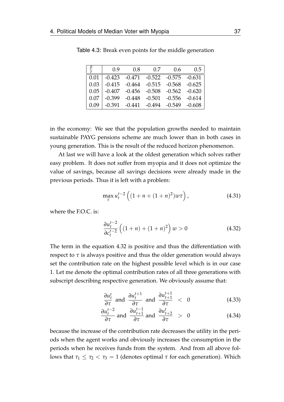| 0.9 | $0.8\qquad 0.7$                                                             | 0.6 | 0.5 |
|-----|-----------------------------------------------------------------------------|-----|-----|
|     | $\mid 0.01 \mid -0.423 \quad -0.471 \quad -0.522 \quad -0.575 \quad -0.631$ |     |     |
|     | $\vert 0.03 \vert$ -0.415 -0.464 -0.515 -0.568 -0.625                       |     |     |
|     | $\vert 0.05 \vert$ -0.407 -0.456 -0.508 -0.562 -0.620                       |     |     |
|     | $\vert 0.07 \vert$ -0.399 -0.448 -0.501 -0.556 -0.614                       |     |     |
|     | $\mid 0.09 \mid -0.391 \quad -0.441 \quad -0.494 \quad -0.549 \quad -0.608$ |     |     |

Table 4.3: Break even points for the middle generation

in the economy: We see that the population growths needed to maintain sustainable PAYG pensions scheme are much lower than in both cases in young generation. This is the result of the reduced horizon phenomenon.

At last we will have a look at the oldest generation which solves rather easy problem. It does not suffer from myopia and it does not optimize the value of savings, because all savings decisions were already made in the previous periods. Thus it is left with a problem:

$$
\max_{\tau} u_t^{t-2} \left( (1 + n + (1 + n)^2) w \tau \right), \tag{4.31}
$$

where the F.O.C. is:

<span id="page-47-0"></span>
$$
\frac{\partial u_t^{t-2}}{\partial c_t^{t-2}} \left( (1+n) + (1+n)^2 \right) w > 0 \tag{4.32}
$$

The term in the equation [4.32](#page-47-0) is positive and thus the differentiation with respect to  $\tau$  is always positive and thus the older generation would always set the contribution rate on the highest possible level which is in our case 1. Let me denote the optimal contribution rates of all three generations with subscript describing respective generation. We obviously assume that:

$$
\frac{\partial u_t^t}{\partial \tau} \text{ and } \frac{\partial u_t^{t+1}}{\partial \tau} \text{ and } \frac{\partial u_{t+1}^{t+1}}{\partial \tau} < 0 \tag{4.33}
$$

$$
\frac{\partial u_t^{t-2}}{\partial \tau} \text{ and } \frac{\partial u_{t+1}^{t-1}}{\partial \tau} \text{ and } \frac{\partial u_{t+2}^t}{\partial \tau} > 0 \tag{4.34}
$$

because the increase of the contribution rate decreases the utility in the periods when the agent works and obviously increases the consumption in the periods when he receives funds from the system. And from all above follows that  $τ_1 ≤ τ_2 < τ_3 = 1$  (denotes optimal *τ* for each generation). Which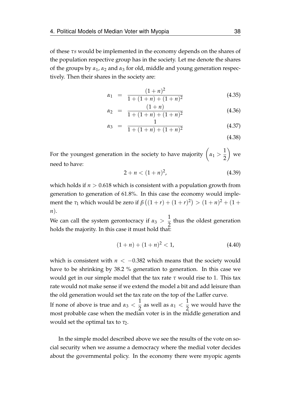of these *τs* would be implemented in the economy depends on the shares of the population respective group has in the society. Let me denote the shares of the groups by *α*1, *α*<sup>2</sup> and *α*<sup>3</sup> for old, middle and young generation respectively. Then their shares in the society are:

$$
\alpha_1 = \frac{(1+n)^2}{1 + (1+n) + (1+n)^2} \tag{4.35}
$$

$$
\alpha_2 = \frac{(1+n)}{1 + (1+n) + (1+n)^2} \tag{4.36}
$$

$$
\alpha_3 = \frac{1}{1 + (1 + n) + (1 + n)^2} \tag{4.37}
$$

For the youngest generation in the society to have majority  $\left(\alpha_1 > \frac{1}{2}\right)$ 2  $\setminus$ we need to have:

$$
2 + n < (1 + n)^2,\tag{4.39}
$$

which holds if  $n > 0.618$  which is consistent with a population growth from generation to generation of 61.8%. In this case the economy would implement the *τ*<sub>1</sub> which would be zero if  $β((1 + r) + (1 + r)^2) > (1 + n)^2 + (1 + r)^2$ *n*).

We can call the system gerontocracy if  $\alpha_3 > \frac{1}{2}$ 2 thus the oldest generation holds the majority. In this case it must hold that:

$$
(1+n) + (1+n)^2 < 1,\tag{4.40}
$$

which is consistent with  $n < -0.382$  which means that the society would have to be shrinking by 38.2 % generation to generation. In this case we would get in our simple model that the tax rate *τ* would rise to 1. This tax rate would not make sense if we extend the model a bit and add leisure than the old generation would set the tax rate on the top of the Laffer curve. If none of above is true and  $\alpha_3 < \frac{1}{2}$  $\frac{1}{2}$  as well as *α*<sub>1</sub> <  $\frac{1}{2}$ 2 we would have the most probable case when the median voter is in the middle generation and would set the optimal tax to *τ*<sub>2</sub>.

In the simple model described above we see the results of the vote on social security when we assume a democracy where the medial voter decides about the governmental policy. In the economy there were myopic agents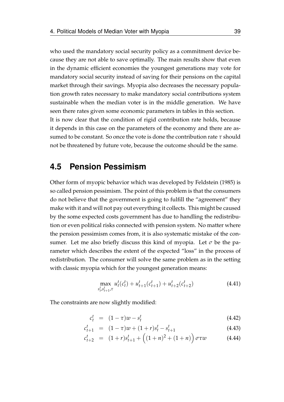who used the mandatory social security policy as a commitment device because they are not able to save optimally. The main results show that even in the dynamic efficient economies the youngest generations may vote for mandatory social security instead of saving for their pensions on the capital market through their savings. Myopia also decreases the necessary population growth rates necessary to make mandatory social contributions system sustainable when the median voter is in the middle generation. We have seen there rates given some economic parameters in tables in this section. It is now clear that the condition of rigid contribution rate holds, because it depends in this case on the parameters of the economy and there are assumed to be constant. So once the vote is done the contribution rate *τ* should not be threatened by future vote, because the outcome should be the same.

### **4.5 Pension Pessimism**

Other form of myopic behavior which was developed by [Feldstein](#page-75-5) [\(1985\)](#page-75-5) is so called pension pessimism. The point of this problem is that the consumers do not believe that the government is going to fulfill the "agreement" they make with it and will not pay out everything it collects. This might be caused by the some expected costs government has due to handling the redistribution or even political risks connected with pension system. No matter where the pension pessimism comes from, it is also systematic mistake of the consumer. Let me also briefly discuss this kind of myopia. Let  $\sigma$  be the parameter which describes the extent of the expected "loss" in the process of redistribution. The consumer will solve the same problem as in the setting with classic myopia which for the youngest generation means:

$$
\max_{s_t^t, s_{t+1}^t, \tau} u_t^t(c_t^t) + u_{t+1}^t(c_{t+1}^t) + u_{t+2}^t(c_{t+2}^t)
$$
\n(4.41)

The constraints are now slightly modified:

$$
c_t^t = (1 - \tau)w - s_t^t \tag{4.42}
$$

$$
c_{t+1}^t = (1 - \tau)w + (1 + r)s_t^t - s_{t+1}^t \tag{4.43}
$$

$$
c_{t+2}^t = (1+r)s_{t+1}^t + ((1+n)^2 + (1+n)) \sigma \tau w \qquad (4.44)
$$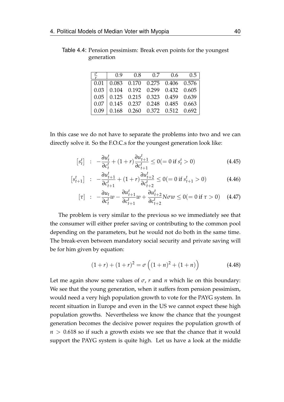| $\frac{\sigma}{\sigma}$   0.9 0.8 0.7 0.6 0.5                              |  |  |
|----------------------------------------------------------------------------|--|--|
| $0.01 \mid 0.083 \quad 0.170 \quad 0.275 \quad 0.406 \quad 0.576$          |  |  |
| $0.03$ 0.104 0.192 0.299 0.432 0.605                                       |  |  |
| $0.05 \begin{array}{ l} 0.125 \end{array}$ 0.215 0.323 0.459 0.639         |  |  |
| $0.07$ 0.145 0.237 0.248 0.485 0.663                                       |  |  |
| $0.09 \begin{array}{ l} 0.168 & 0.260 & 0.372 & 0.512 & 0.692 \end{array}$ |  |  |

Table 4.4: Pension pessimism: Break even points for the youngest generation

In this case we do not have to separate the problems into two and we can directly solve it. So the F.O.C.s for the youngest generation look like:

$$
\[s_t^t\] \ : \ -\frac{\partial u_t^t}{\partial c_t^t} + (1+r)\frac{\partial u_{t+1}^t}{\partial c_{t+1}^t} \le 0 ( = 0 \text{ if } s_t^t > 0)
$$
\n(4.45)

$$
\begin{bmatrix} s_{t+1}^t \end{bmatrix} : -\frac{\partial u_{t+1}^t}{\partial c_{t+1}^t} + (1+r) \frac{\partial u_{t+2}^t}{\partial c_{t+2}^t} \le 0 (= 0 \text{ if } s_{t+1}^t > 0)
$$
 (4.46)

$$
[\tau] \quad : \quad -\frac{\partial u_t}{\partial c_t^t} w - \frac{\partial u_{t+1}^t}{\partial c_{t+1}^t} w + \frac{\partial u_{t+2}^t}{\partial c_{t+2}^t} N \sigma w \le 0 (= 0 \text{ if } \tau > 0) \quad (4.47)
$$

The problem is very similar to the previous so we immediately see that the consumer will either prefer saving or contributing to the common pool depending on the parameters, but he would not do both in the same time. The break-even between mandatory social security and private saving will be for him given by equation:

$$
(1+r) + (1+r)2 = \sigma ((1+n)2 + (1+n))
$$
 (4.48)

Let me again show some values of  $\sigma$ ,  $r$  and  $n$  which lie on this boundary: We see that the young generation, when it suffers from pension pessimism, would need a very high population growth to vote for the PAYG system. In recent situation in Europe and even in the US we cannot expect these high population growths. Nevertheless we know the chance that the youngest generation becomes the decisive power requires the population growth of  $n > 0.618$  so if such a growth exists we see that the chance that it would support the PAYG system is quite high. Let us have a look at the middle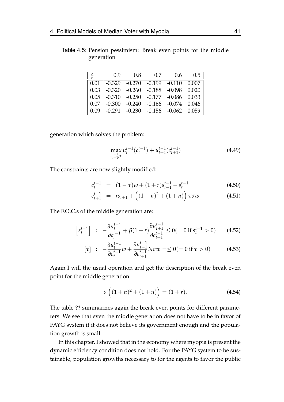| $\frac{\sigma}{r}$ | 0.9 | $0.8$ 0.7 | 0.6                                                       | 0.5 |
|--------------------|-----|-----------|-----------------------------------------------------------|-----|
|                    |     |           | $\mid 0.01 \mid$ -0.329 -0.270 -0.199 -0.110 0.007        |     |
|                    |     |           | $\vert 0.03 \vert$ -0.320 -0.260 -0.188 -0.098 0.020      |     |
|                    |     |           | $\vert 0.05 \vert 0.310 -0.250 -0.177 -0.086 0.033 \vert$ |     |
|                    |     |           | $\vert 0.07 \vert -0.300 -0.240 -0.166 -0.074 0.046$      |     |
|                    |     |           | $\vert 0.09 \vert$ -0.291 -0.230 -0.156 -0.062 0.059      |     |
|                    |     |           |                                                           |     |

Table 4.5: Pension pessimism: Break even points for the middle generation

generation which solves the problem:

$$
\max_{\substack{s_{t+1}^{t-1} \tau}} u_t^{t-1} (c_t^{t-1}) + u_{t+1}^{t-1} (c_{t+1}^{t-1})
$$
\n(4.49)

The constraints are now slightly modified:

$$
c_t^{t-1} = (1 - \tau)w + (1 + r)s_{t-1}^{t-1} - s_t^{t-1}
$$
\n(4.50)

$$
c_{t+1}^{t-1} = rs_{t+1} + ((1+n)^2 + (1+n)) \tau \sigma w \qquad (4.51)
$$

The F.O.C.s of the middle generation are:

$$
\[s_t^{t-1}\] \ : \ -\frac{\partial u_t^{t-1}}{\partial c_t^{t-1}} + \beta(1+r)\frac{\partial u_{t+1}^{t-1}}{\partial c_{t+1}^{t-1}} \le 0 (= 0 \text{ if } s_t^{t-1} > 0) \qquad (4.52)
$$

$$
[\tau] : -\frac{\partial u_t^{t-1}}{\partial c_t^{t-1}} w + \frac{\partial u_{t+1}^{t-1}}{\partial c_{t+1}^{t-1}} N \sigma w = \le 0 ( = 0 \text{ if } \tau > 0)
$$
 (4.53)

Again I will the usual operation and get the description of the break even point for the middle generation:

$$
\sigma\left((1+n)^2 + (1+n)\right) = (1+r). \tag{4.54}
$$

The table **??** summarizes again the break even points for different parameters: We see that even the middle generation does not have to be in favor of PAYG system if it does not believe its government enough and the population growth is small.

In this chapter, I showed that in the economy where myopia is present the dynamic efficiency condition does not hold. For the PAYG system to be sustainable, population growths necessary to for the agents to favor the public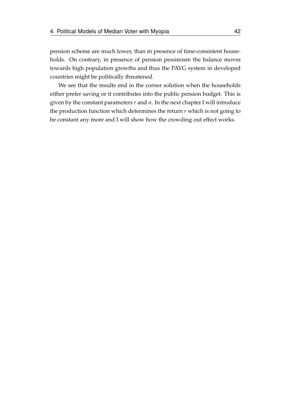pension scheme are much lower, than in presence of time-consistent households. On contrary, in presence of pension pessimism the balance moves towards high population growths and thus the PAYG system in developed countries might be politically threatened.

We see that the results end in the corner solution when the households either prefer saving or it contributes into the public pension budget. This is given by the constant parameters *r* and *n*. In the next chapter I will introduce the production function which determines the return *r* which is not going to be constant any more and I will show how the crowding out effect works.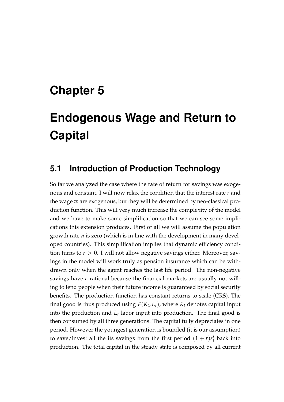# <span id="page-53-0"></span>**Chapter 5**

# **Endogenous Wage and Return to Capital**

## **5.1 Introduction of Production Technology**

So far we analyzed the case where the rate of return for savings was exogenous and constant. I will now relax the condition that the interest rate *r* and the wage *w* are exogenous, but they will be determined by neo-classical production function. This will very much increase the complexity of the model and we have to make some simplification so that we can see some implications this extension produces. First of all we will assume the population growth rate *n* is zero (which is in line with the development in many developed countries). This simplification implies that dynamic efficiency condition turns to  $r > 0$ . I will not allow negative savings either. Moreover, savings in the model will work truly as pension insurance which can be withdrawn only when the agent reaches the last life period. The non-negative savings have a rational because the financial markets are usually not willing to lend people when their future income is guaranteed by social security benefits. The production function has constant returns to scale (CRS). The final good is thus produced using  $F(K_t, L_t)$ , where  $K_t$  denotes capital input into the production and *L<sup>t</sup>* labor input into production. The final good is then consumed by all three generations. The capital fully depreciates in one period. However the youngest generation is bounded (it is our assumption) to save/invest all the its savings from the first period  $(1 + r)s_t^t$  back into production. The total capital in the steady state is composed by all current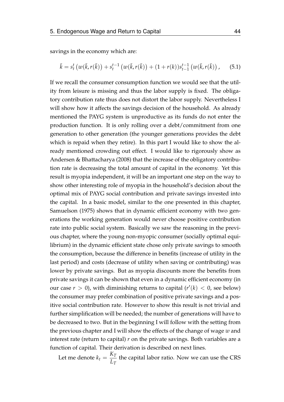savings in the economy which are:

$$
\bar{k} = s_t^t \left( w(\bar{k}, r(\bar{k})) + s_t^{t-1} \left( w(\bar{k}, r(\bar{k})) + (1 + r(k))s_{t-1}^{t-1} \left( w(\bar{k}, r(\bar{k})) \right), \right) \right)
$$
(5.1)

If we recall the consumer consumption function we would see that the utility from leisure is missing and thus the labor supply is fixed. The obligatory contribution rate thus does not distort the labor supply. Nevertheless I will show how it affects the savings decision of the household. As already mentioned the PAYG system is unproductive as its funds do not enter the production function. It is only rolling over a debt/commitment from one generation to other generation (the younger generations provides the debt which is repaid when they retire). In this part I would like to show the already mentioned crowding out effect. I would like to rigorously show as [Andersen & Bhattacharya](#page-74-1) [\(2008\)](#page-74-1) that the increase of the obligatory contribution rate is decreasing the total amount of capital in the economy. Yet this result is myopia independent, it will be an important one step on the way to show other interesting role of myopia in the household's decision about the optimal mix of PAYG social contribution and private savings invested into the capital. In a basic model, similar to the one presented in this chapter, [Samuelson](#page-76-1) [\(1975\)](#page-76-1) shows that in dynamic efficient economy with two generations the working generation would never choose positive contribution rate into public social system. Basically we saw the reasoning in the previous chapter, where the young non-myopic consumer (socially optimal equilibrium) in the dynamic efficient state chose only private savings to smooth the consumption, because the difference in benefits (increase of utility in the last period) and costs (decrease of utility when saving or contributing) was lower by private savings. But as myopia discounts more the benefits from private savings it can be shown that even in a dynamic efficient economy (in our case  $r > 0$ ), with diminishing returns to capital  $(r'(k) < 0$ , see below) the consumer may prefer combination of positive private savings and a positive social contribution rate. However to show this result is not trivial and further simplification will be needed; the number of generations will have to be decreased to two. But in the beginning I will follow with the setting from the previous chapter and I will show the effects of the change of wage *w* and interest rate (return to capital) *r* on the private savings. Both variables are a function of capital. Their derivation is described on next lines.

Let me denote  $k_t = \frac{K_T}{I}$  $\frac{L_1}{L_T}$  the capital labor ratio. Now we can use the CRS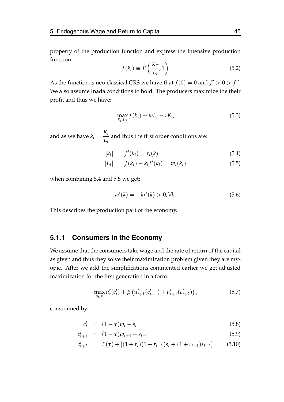property of the production function and express the intensive production function:

$$
f(k_t) \equiv F\left(\frac{K_T}{L_t}, 1\right) \tag{5.2}
$$

As the function is neo-classical CRS we have that  $f(0) = 0$  and  $f' > 0 > f''$ . We also assume Inada conditions to hold. The producers maximize the their profit and thus we have:

$$
\max_{K_t, L_T} f(k_t) - w L_t - r K_t,\tag{5.3}
$$

and as we have  $k_t = \frac{K_t}{I}$  $\frac{L}{L_t}$  and thus the first order conditions are:

$$
[k_t] : f'(k_t) = r_t(k)
$$
\n(5.4)

<span id="page-55-0"></span>
$$
[L_t] : f(k_t) - k_t f'(k_t) = w_t(k_t)
$$
\n(5.5)

when combining [5.4](#page-55-0) and [5.5](#page-55-0) we get:

$$
w'(k) = -kr'(k) > 0, \forall k.
$$
\n
$$
(5.6)
$$

This describes the production part of the economy.

#### **5.1.1 Consumers in the Economy**

We assume that the consumers take wage and the rate of return of the capital as given and thus they solve their maximization problem given they are myopic. After we add the simplifications commented earlier we get adjusted maximization for the first generation in a form:

$$
\max_{s_t, \tau} u_t^t(c_t^t) + \beta \left( u_{t+1}^t(c_{t+1}^t) + u_{t+1}^t(c_{t+2}^t) \right), \tag{5.7}
$$

constrained by:

$$
c_t^t = (1 - \tau)w_t - s_t \tag{5.8}
$$

$$
c_{t+1}^t = (1 - \tau)w_{t+1} - s_{t+1} \tag{5.9}
$$

$$
c_{t+2}^t = P(\tau) + [(1+r_t)(1+r_{t+1})s_t + (1+r_{t+1})s_{t+1}] \tag{5.10}
$$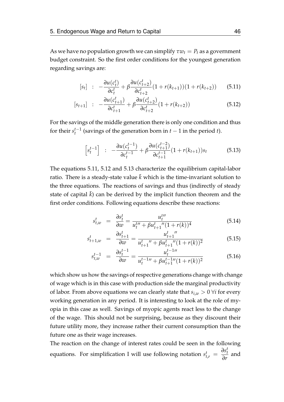As we have no population growth we can simplify  $\tau w_t = P_t$  as a government budget constraint. So the first order conditions for the youngest generation regarding savings are:

$$
[s_t] : -\frac{\partial u(c_t^t)}{\partial c_t^t} + \beta \frac{\partial u(c_{t+2}^t)}{\partial c_{t+2}^t} (1 + r(k_{t+1}))(1 + r(k_{t+2})) \qquad (5.11)
$$

<span id="page-56-0"></span>
$$
[s_{t+1}] : -\frac{\partial u(c_{t+1}^t)}{\partial c_{t+1}^t} + \beta \frac{\partial u(c_{t+2}^t)}{\partial c_{t+2}^t} (1 + r(k_{t+2})) \tag{5.12}
$$

For the savings of the middle generation there is only one condition and thus for their  $s_t^{t-1}$ *t* (savings of the generation born in *t* − 1 in the period *t*).

<span id="page-56-1"></span>
$$
\[s_t^{t-1}\] \ : \ -\frac{\partial u(c_t^{t-1})}{\partial c_t^{t-1}} + \beta \frac{\partial u(c_{t+1}^{t-2})}{\partial c_{t+1}^{t-1}} (1 + r(k_{t+1}))s_t \tag{5.13}
$$

The equations [5.11,](#page-56-0) [5.12](#page-56-0) and [5.13](#page-56-1) characterize the equilibrium capital-labor ratio. There is a steady-state value  $k$  which is the time-invariant solution to the three equations. The reactions of savings and thus (indirectly of steady state of capital  $k$ ) can be derived by the implicit function theorem and the first order conditions. Following equations describe these reactions:

$$
s_{t,w}^t = \frac{\partial s_t^t}{\partial w} = \frac{u_t^{t}}{u_t^{t}} + \beta u_{t+1}^t{''(1+r(k))}^4
$$
\n(5.14)

$$
s_{t+1,w}^t = \frac{\partial s_{t+1}^t}{\partial w} = \frac{u_{t+1}^t''}{u_{t+1}^t'' + \beta u_{t+1}^t'' (1 + r(k))^2}
$$
(5.15)

$$
s_{t,w}^{t-1} = \frac{\partial s_t^{t-1}}{\partial w} = \frac{u_t^{t-1}}{u_t^{t-1}} + \beta u_{t+1}^{t-1}}{u_t^{t-1}}(1+r(k))^2
$$
(5.16)

which show us how the savings of respective generations change with change of wage which is in this case with production side the marginal productivity of labor. From above equations we can clearly state that  $s_{i,w} > 0$   $\forall i$  for every working generation in any period. It is interesting to look at the role of myopia in this case as well. Savings of myopic agents react less to the change of the wage. This should not be surprising, because as they discount their future utility more, they increase rather their current consumption than the future one as their wage increases.

The reaction on the change of interest rates could be seen in the following equations. For simplification I will use following notation  $s_{t,r}^t = \frac{\partial s_t^t}{\partial r}$  $\frac{\partial^2 r}{\partial r}$  and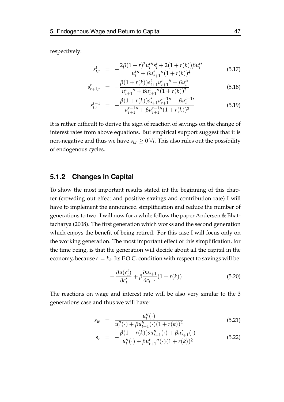respectively:

$$
s_{t,r}^t = -\frac{2\beta(1+r)^3 u_t^{t\prime\prime} s_t^t + 2(1+r(k))\beta u_t^{t\prime}}{u_t^{t\prime\prime} + \beta u_{t+1}^{t\prime\prime}(1+r(k))^4}
$$
(5.17)

$$
s_{t+1,r}^t = -\frac{\beta(1+r(k))s_{t+1}^t u_{t+1}^t'' + \beta u_t^{t'}}{u_{t+1}^t'' + \beta u_{t+1}^t'' (1+r(k))^2}
$$
(5.18)

$$
s_{t,r}^{t-1} = -\frac{\beta(1+r(k))s_{t+1}^t u_{t+1}^{t-1} + \beta u_t^{t-1}}{u_{t+1}^{t-1} + \beta u_{t+1}^{t-1} + (1+r(k))^2}
$$
(5.19)

It is rather difficult to derive the sign of reaction of savings on the change of interest rates from above equations. But empirical support suggest that it is non-negative and thus we have  $s_{i,r} \geq 0 \forall i$ . This also rules out the possibility of endogenous cycles.

#### **5.1.2 Changes in Capital**

To show the most important results stated int the beginning of this chapter (crowding out effect and positive savings and contribution rate) I will have to implement the announced simplification and reduce the number of generations to two. I will now for a while follow the paper [Andersen & Bhat](#page-74-1)[tacharya](#page-74-1) [\(2008\)](#page-74-1). The first generation which works and the second generation which enjoys the benefit of being retired. For this case I will focus only on the working generation. The most important effect of this simplification, for the time being, is that the generation will decide about all the capital in the economy, because  $s = k_t$ . Its F.O.C. condition with respect to savings will be:

<span id="page-57-0"></span>
$$
-\frac{\partial u(c_t^t)}{\partial c_t^t} + \beta \frac{\partial u_{t+1}}{\partial c_{t+1}} (1 + r(k)) \tag{5.20}
$$

The reactions on wage and interest rate will be also very similar to the 3 generations case and thus we will have:

$$
s_w = \frac{u_t''(\cdot)}{u_t''(\cdot) + \beta u_{t+1}''(\cdot)(1+r(k))^2}
$$
(5.21)

$$
s_r = -\frac{\beta(1+r(k))su''_{t+1}(\cdot) + \beta u'_{t+1}(\cdot)}{u''_t(\cdot) + \beta u'_{t+1}''(\cdot)(1+r(k))^2}
$$
(5.22)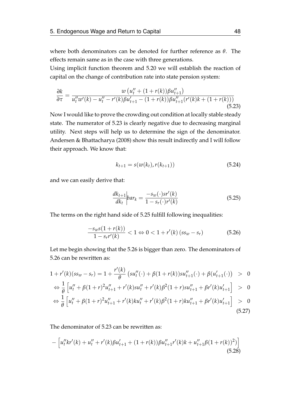where both denominators can be denoted for further reference as *θ*. The effects remain same as in the case with three generations.

Using implicit function theorem and [5.20](#page-57-0) we will establish the reaction of capital on the change of contribution rate into state pension system:

<span id="page-58-0"></span>
$$
\frac{\partial k}{\partial \tau} = \frac{w \left( u_t'' + (1 + r(k)) \beta u_{t+1}'' \right)}{u_t'' w'(k) - u_t'' - r'(k) \beta u_{t+1}' - (1 + r(k)) \beta u_{t+1}'' (r'(k)k + (1 + r(k)))}
$$
\n(5.23)

Now I would like to prove the crowding out condition at locally stable steady state. The numerator of [5.23](#page-58-0) is clearly negative due to decreasing marginal utility. Next steps will help us to determine the sign of the denominator. [Andersen & Bhattacharya](#page-74-1) [\(2008\)](#page-74-1) show this result indirectly and I will follow their approach. We know that:

$$
k_{t+1} = s(w(k_t), r(k_{t+1}))
$$
\n(5.24)

and we can easily derive that:

<span id="page-58-1"></span>
$$
\frac{dk_{t+1}}{dk_t}\bigg| bar_k = \frac{-s_w(\cdot)sr'(k)}{1 - s_r(\cdot)r'(k)}\tag{5.25}
$$

The terms on the right hand side of [5.25](#page-58-1) fulfill following inequalities:

<span id="page-58-2"></span>
$$
\frac{-s_w s(1 + r(k))}{1 - s_r r'(k)} < 1 \Leftrightarrow 0 < 1 + r'(k) \left(s s_w - s_r\right) \tag{5.26}
$$

Let me begin showing that the [5.26](#page-58-2) is bigger than zero. The denominators of [5.26](#page-58-2) can be rewritten as:

$$
1 + r'(k)(ss_w - s_r) = 1 + \frac{r'(k)}{\theta} \left(su''_t(\cdot) + \beta(1 + r(k))su''_{t+1}(\cdot) + \beta(u'_{t+1}(\cdot)) \right) > 0
$$

<span id="page-58-3"></span>
$$
\Leftrightarrow \frac{1}{\theta} \left[ u''_t + \beta (1+r)^2 u''_{t+1} + r'(k) s u''_t + r'(k) \beta^2 (1+r) s u''_{t+1} + \beta r'(k) u'_{t+1} \right] > 0
$$

$$
\Leftrightarrow \frac{1}{\theta} \left[ u''_t + \beta (1+r)^2 u''_{t+1} + r'(k) k u''_t + r'(k) \beta^2 (1+r) k u''_{t+1} + \beta r'(k) u'_{t+1} \right] > 0
$$
\n(5.27)

The denominator of [5.23](#page-58-0) can be rewritten as:

$$
-\left[u_t''kr'(k) + u_t'' + r'(k)\beta u_{t+1}' + (1+r(k))\beta u_{t+1}''(k)k + u_{t+1}''\beta(1+r(k))^2)\right]
$$
\n(5.28)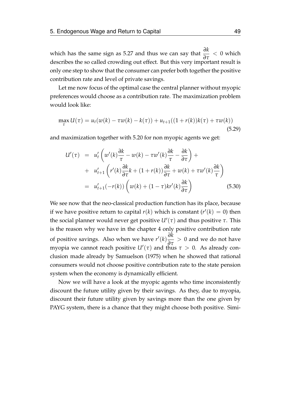which has the same sign as [5.27](#page-58-3) and thus we can say that  $\frac{\partial k}{\partial \tau} < 0$  which describes the so called crowding out effect. But this very important result is only one step to show that the consumer can prefer both together the positive contribution rate and level of private savings.

Let me now focus of the optimal case the central planner without myopic preferences would choose as a contribution rate. The maximization problem would look like:

$$
\max_{\tau} U(\tau) = u_t(w(k) - \tau w(k) - k(\tau)) + u_{t+1}((1 + r(k))k(\tau) + \tau w(k))
$$
\n(5.29)

and maximization together with [5.20](#page-57-0) for non myopic agents we get:

<span id="page-59-0"></span>
$$
U'(\tau) = u'_t \left( w'(k) \frac{\partial k}{\tau} - w(k) - \tau w'(k) \frac{\partial k}{\tau} - \frac{\partial k}{\partial \tau} \right) +
$$
  
+ 
$$
u'_{t+1} \left( r'(k) \frac{\partial k}{\partial \tau} k + (1 + r(k)) \frac{\partial k}{\partial \tau} + w(k) + \tau w'(k) \frac{\partial k}{\tau} \right)
$$
  
= 
$$
u'_{t+1}(-r(k)) \left( w(k) + (1 - \tau)kr'(k) \frac{\partial k}{\partial \tau} \right)
$$
(5.30)

We see now that the neo-classical production function has its place, because if we have positive return to capital  $r(k)$  which is constant  $(r'(k) = 0)$  then the social planner would never get positive  $U'(\tau)$  and thus positive  $\tau$ . This is the reason why we have in the chapter 4 only positive contribution rate of positive savings. Also when we have  $r'(k) \frac{\partial k}{\partial \tau} > 0$  and we do not have myopia we cannot reach positive  $U'(\tau)$  and thus  $\tau > 0$ . As already conclusion made already by [Samuelson](#page-76-1) [\(1975\)](#page-76-1) when he showed that rational consumers would not choose positive contribution rate to the state pension system when the economy is dynamically efficient.

Now we will have a look at the myopic agents who time inconsistently discount the future utility given by their savings. As they, due to myopia, discount their future utility given by savings more than the one given by PAYG system, there is a chance that they might choose both positive. Simi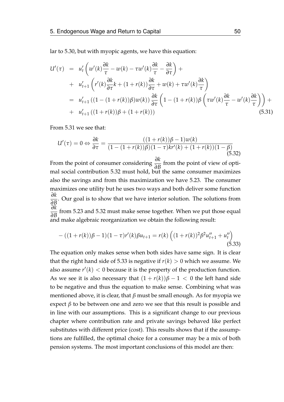lar to [5.30,](#page-59-0) but with myopic agents, we have this equation:

<span id="page-60-0"></span>
$$
U'(\tau) = u'_t \left( w'(k) \frac{\partial k}{\tau} - w(k) - \tau w'(k) \frac{\partial k}{\tau} - \frac{\partial k}{\partial \tau} \right) +
$$
  
+  $u'_{t+1} \left( r'(k) \frac{\partial k}{\partial \tau} k + (1 + r(k)) \frac{\partial k}{\partial \tau} + w(k) + \tau w'(k) \frac{\partial k}{\tau} \right)$   
=  $u'_{t+1} ((1 - (1 + r(k))\beta)w(k)) \frac{\partial k}{\partial \tau} \left( 1 - (1 + r(k))\beta \left( \tau w'(k) \frac{\partial k}{\tau} - w'(k) \frac{\partial k}{\tau} \right) \right) +$   
+  $u'_{t+1} ((1 + r(k))\beta + (1 + r(k)))$  (5.31)

From [5.31](#page-60-0) we see that:

<span id="page-60-1"></span>
$$
U'(\tau) = 0 \Leftrightarrow \frac{\partial k}{\partial \tau} = \frac{((1+r(k))\beta - 1)w(k)}{(1 - (1+r(k))\beta)(1 - \tau)kr'(k) + (1+r(k))(1 - \beta)}
$$
(5.32)

From the point of consumer considering *<sup>∂</sup><sup>k</sup> ∂B* from the point of view of optimal social contribution [5.32](#page-60-1) must hold, but the same consumer maximizes also the savings and from this maximization we have [5.23.](#page-58-0) The consumer maximizes one utility but he uses two ways and both deliver some function *∂k* <del>*∂B*</del>. Our goal is to show that we have interior solution. The solutions from  $\frac{\partial B}{\partial t}$ . *∂k*  $\frac{\partial^2 B}{\partial B}$  from [5.23](#page-58-0) and [5.32](#page-60-1) must make sense together. When we put those equal and make algebraic reorganization we obtain the following result:

<span id="page-60-2"></span>
$$
-((1+r(k))\beta-1)(1-\tau)r'(k)\beta u_{t+1} = r(k)\left((1+r(k))^{2}\beta^{2}u''_{t+1} + u''_{t}\right)
$$
\n(5.33)

The equation only makes sense when both sides have same sign. It is clear that the right hand side of [5.33](#page-60-2) is negative if  $r(k) > 0$  which we assume. We also assume  $r'(k) < 0$  because it is the property of the production function. As we see it is also necessary that  $(1 + r(k))\beta - 1 < 0$  the left hand side to be negative and thus the equation to make sense. Combining what was mentioned above, it is clear, that *β* must be small enough. As for myopia we expect  $\beta$  to be between one and zero we see that this result is possible and in line with our assumptions. This is a significant change to our previous chapter where contribution rate and private savings behaved like perfect substitutes with different price (cost). This results shows that if the assumptions are fulfilled, the optimal choice for a consumer may be a mix of both pension systems. The most important conclusions of this model are then: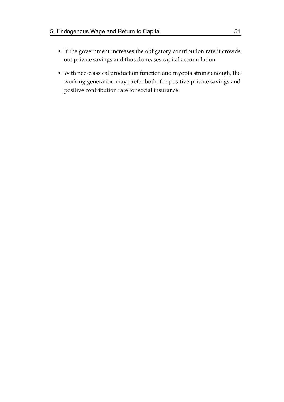- If the government increases the obligatory contribution rate it crowds out private savings and thus decreases capital accumulation.
- With neo-classical production function and myopia strong enough, the working generation may prefer both, the positive private savings and positive contribution rate for social insurance.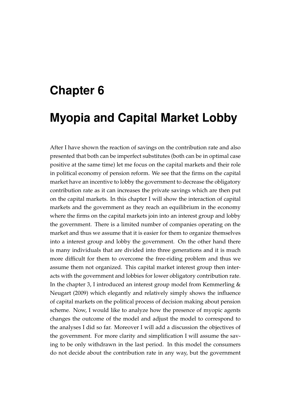# **Chapter 6**

# **Myopia and Capital Market Lobby**

After I have shown the reaction of savings on the contribution rate and also presented that both can be imperfect substitutes (both can be in optimal case positive at the same time) let me focus on the capital markets and their role in political economy of pension reform. We see that the firms on the capital market have an incentive to lobby the government to decrease the obligatory contribution rate as it can increases the private savings which are then put on the capital markets. In this chapter I will show the interaction of capital markets and the government as they reach an equilibrium in the economy where the firms on the capital markets join into an interest group and lobby the government. There is a limited number of companies operating on the market and thus we assume that it is easier for them to organize themselves into a interest group and lobby the government. On the other hand there is many individuals that are divided into three generations and it is much more difficult for them to overcome the free-riding problem and thus we assume them not organized. This capital market interest group then interacts with the government and lobbies for lower obligatory contribution rate. In the chapter 3, I introduced an interest group model from Kemmerling  $\&$ [Neugart](#page-75-1) [\(2009\)](#page-75-1) which elegantly and relatively simply shows the influence of capital markets on the political process of decision making about pension scheme. Now, I would like to analyze how the presence of myopic agents changes the outcome of the model and adjust the model to correspond to the analyses I did so far. Moreover I will add a discussion the objectives of the government. For more clarity and simplification I will assume the saving to be only withdrawn in the last period. In this model the consumers do not decide about the contribution rate in any way, but the government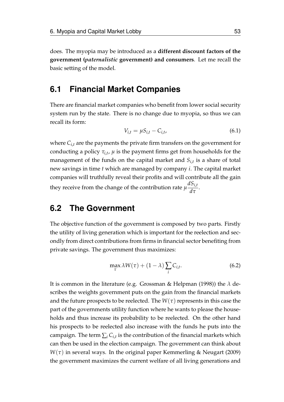does. The myopia may be introduced as a **different discount factors of the government (***paternalistic* **government) and consumers**. Let me recall the basic setting of the model.

## **6.1 Financial Market Companies**

There are financial market companies who benefit from lower social security system run by the state. There is no change due to myopia, so thus we can recall its form:

$$
V_{i,t} = \mu S_{i,t} - C_{i,t},
$$
\n(6.1)

where *Ci*,*<sup>t</sup>* are the payments the private firm transfers on the government for conducting a policy *τi*,*<sup>t</sup>* , *µ* is the payment firms get from households for the management of the funds on the capital market and *Si*,*<sup>t</sup>* is a share of total new savings in time *t* which are managed by company *i*. The capital market companies will truthfully reveal their profits and will contribute all the gain they receive from the change of the contribution rate  $\mu \frac{dS_{i,t}}{dx}$  $\frac{d}{d\tau}$ .

# **6.2 The Government**

The objective function of the government is composed by two parts. Firstly the utility of living generation which is important for the reelection and secondly from direct contributions from firms in financial sector benefiting from private savings. The government thus maximizes:

$$
\max_{\tau} \lambda W(\tau) + (1 - \lambda) \sum_{i} C_{i,t}.
$$
 (6.2)

It is common in the literature (e.g. [Grossman & Helpman](#page-75-0) [\(1998\)](#page-75-0)) the *λ* describes the weights government puts on the gain from the financial markets and the future prospects to be reelected. The  $W(\tau)$  represents in this case the part of the governments utility function where he wants to please the households and thus increase its probability to be reelected. On the other hand his prospects to be reelected also increase with the funds he puts into the campaign. The term  $\sum_i C_{i,t}$  is the contribution of the financial markets which can then be used in the election campaign. The government can think about  $W(\tau)$  in several ways. In the original paper [Kemmerling & Neugart](#page-75-1) [\(2009\)](#page-75-1) the government maximizes the current welfare of all living generations and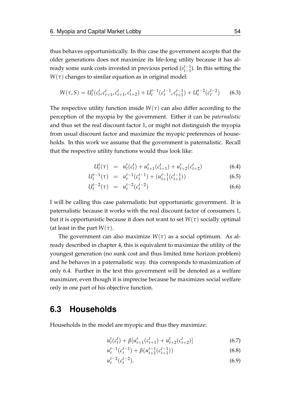thus behaves opportunistically. In this case the government accepts that the older generations does not maximize its life-long utility because it has already some sunk costs invested in previous period (*s t*−1 *t*−1 ). In this setting the  $W(\tau)$  changes to similar equation as in original model:

$$
W(\tau, S) = U_t^t(c_t^t, c_{t+1}^t, c_{t+1}^t, c_{t+2}^t) + U_t^{t-1}(c_t^{t-1}, c_{t+1}^{t-1}) + U_t^{t-2}(c_t^{t-2}) \tag{6.3}
$$

The respective utility function inside  $W(\tau)$  can also differ according to the perception of the myopia by the government. Either it can be *paternalistic* and thus set the real discount factor 1, or might not distinguish the myopia from usual discount factor and maximize the myopic preferences of households. In this work we assume that the government is paternalistic. Recall that the respective utility functions would thus look like:

<span id="page-64-0"></span>
$$
U_t^t(\tau) = u_t^t(c_t^t) + u_{t+1}^t(c_{t+1}^t) + u_{t+2}^t(c_{t+2}^t)
$$
\n(6.4)

$$
U_t^{t-1}(\tau) = u_t^{t-1}(c_t^{t-1}) + (u_{t+1}^{t-1}(c_{t+1}^{t-1})) \tag{6.5}
$$

$$
U_t^{t-2}(\tau) = u_t^{t-2}(c_t^{t-2}) \tag{6.6}
$$

I will be calling this case paternalistic but opportunistic government. It is paternalistic because it works with the real discount factor of consumers 1, but it is opportunistic because it does not want to set  $W(\tau)$  socially optimal (at least in the part  $W(\tau)$ .

The government can also maximize  $W(\tau)$  as a social optimum. As already described in chapter 4, this is equivalent to maximize the utility of the youngest generation (no sunk cost and thus limited time horizon problem) and he behaves in a paternalistic way. this corresponds to maximization of only [6.4.](#page-64-0) Further in the text this government will be denoted as a welfare maximizer, even though it is imprecise because he maximizes social welfare only in one part of his objective function.

## **6.3 Households**

Households in the model are myopic and thus they maximize:

$$
u_t^t(c_t^t) + \beta [u_{t+1}^t(c_{t+1}^t) + u_{t+2}^t(c_{t+2}^t)] \tag{6.7}
$$

$$
u_t^{t-1}(c_t^{t-1}) + \beta(u_{t+1}^{t-1}(c_{t+1}^{t-1})) \tag{6.8}
$$

$$
u_t^{t-2}(c_t^{t-2}).
$$
\n(6.9)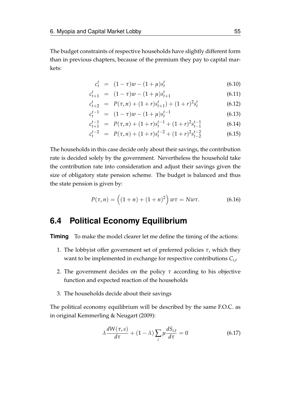The budget constraints of respective households have slightly different form than in previous chapters, because of the premium they pay to capital markets:

$$
c_t^t = (1 - \tau)w - (1 + \mu)s_t^t \tag{6.10}
$$

$$
c_{t+1}^t = (1 - \tau)w - (1 + \mu)s_{t+1}^t \tag{6.11}
$$

$$
c_{t+2}^t = P(\tau, n) + (1+r)s_{t+1}^t) + (1+r)^2 s_t^t \tag{6.12}
$$

$$
c_t^{t-1} = (1 - \tau)w - (1 + \mu)s_t^{t-1}
$$
\n(6.13)

$$
c_{t+1}^{t-1} = P(\tau, n) + (1+r)s_t^{t-1} + (1+r)^2 s_{t-1}^{t-1}
$$
 (6.14)

$$
c_t^{t-2} = P(\tau, n) + (1+r)s_t^{t-2} + (1+r)^2 s_{t-2}^{t-2}
$$
 (6.15)

The households in this case decide only about their savings, the contribution rate is decided solely by the government. Nevertheless the household take the contribution rate into consideration and adjust their savings given the size of obligatory state pension scheme. The budget is balanced and thus the state pension is given by:

$$
P(\tau, n) = ((1 + n) + (1 + n)^2) w\tau = Nw\tau.
$$
 (6.16)

# **6.4 Political Economy Equilibrium**

**Timing** To make the model clearer let me define the timing of the actions:

- 1. The lobbyist offer government set of preferred policies *τ*, which they want to be implemented in exchange for respective contributions *Ci*,*<sup>t</sup>*
- 2. The government decides on the policy *τ* according to his objective function and expected reaction of the households
- 3. The households decide about their savings

The political economy equilibrium will be described by the same F.O.C. as in original [Kemmerling & Neugart](#page-75-1) [\(2009\)](#page-75-1):

<span id="page-65-0"></span>
$$
\lambda \frac{dW(\tau,s)}{d\tau} + (1 - \lambda) \sum_{i} \mu \frac{dS_{i,t}}{d\tau} = 0
$$
 (6.17)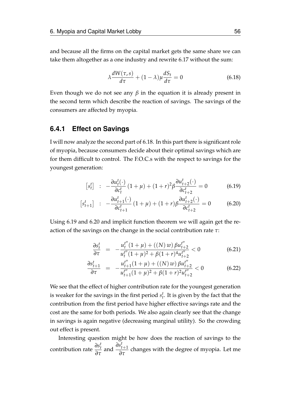and because all the firms on the capital market gets the same share we can take them altogether as a one industry and rewrite [6.17](#page-65-0) without the sum:

<span id="page-66-0"></span>
$$
\lambda \frac{dW(\tau,s)}{d\tau} + (1 - \lambda)\mu \frac{dS_t}{d\tau} = 0
$$
\n(6.18)

Even though we do not see any  $\beta$  in the equation it is already present in the second term which describe the reaction of savings. The savings of the consumers are affected by myopia.

#### **6.4.1 Effect on Savings**

I will now analyze the second part of [6.18.](#page-66-0) In this part there is significant role of myopia, because consumers decide about their optimal savings which are for them difficult to control. The F.O.C.s with the respect to savings for the youngest generation:

$$
[s_t^t] : -\frac{\partial u_t^t(\cdot)}{\partial c_t^t} (1+\mu) + (1+r)^2 \beta \frac{\partial u_{t+2}^t(\cdot)}{\partial c_{t+2}^t} = 0 \tag{6.19}
$$

<span id="page-66-1"></span>
$$
\begin{bmatrix} s_{t+1}^t \end{bmatrix} : -\frac{\partial u_{t+1}^t(\cdot)}{\partial c_{t+1}^t} (1+\mu) + (1+r)\beta \frac{\partial u_{t+2}^t(\cdot)}{\partial c_{t+2}^t} = 0 \tag{6.20}
$$

Using [6.19](#page-66-1) and [6.20](#page-66-1) and implicit function theorem we will again get the reaction of the savings on the change in the social contribution rate *τ*:

$$
\frac{\partial s_t^t}{\partial \tau} = -\frac{u_t^{t''}(1+\mu) + ((N) w) \beta u_{t+2}^{t''}}{u_t^{t''}(1+\mu)^2 + \beta (1+r)^4 u_{t+2}^{t''}} < 0
$$
\n(6.21)

$$
\frac{\partial s_{t+1}^t}{\partial \tau} = -\frac{u_{t+1}^{t''}(1+\mu) + ((N) w) \beta u_{t+2}^{t''}}{u_{t+1}^{t''}(1+\mu)^2 + \beta (1+r)^2 u_{t+2}^{t''}} < 0 \tag{6.22}
$$

We see that the effect of higher contribution rate for the youngest generation is weaker for the savings in the first period  $s_t^t$ . It is given by the fact that the contribution from the first period have higher effective savings rate and the cost are the same for both periods. We also again clearly see that the change in savings is again negative (decreasing marginal utility). So the crowding out effect is present.

Interesting question might be how does the reaction of savings to the contribution rate  $\frac{\partial s_t^t}{\partial \tau}$  and  $\frac{\partial s_{t+1}^t}{\partial \tau}$  changes with the degree of myopia. Let me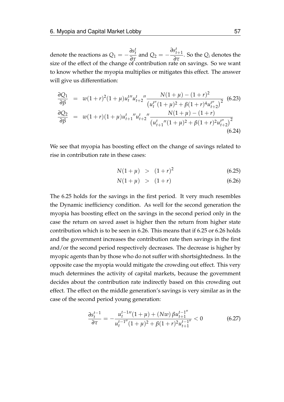denote the reactions as  $Q_1 = -\frac{\partial s_t^t}{\partial \tau}$  and  $Q_2 = -\frac{\partial s_t^t}{\partial \tau}$  $\frac{\partial s_{t+1}^t}{\partial \tau}$ . So the *Q*<sub>*i*</sub> denotes the size of the effect of the change of contribution rate on savings. So we want to know whether the myopia multiplies or mitigates this effect. The answer will give us differentiation:

$$
\frac{\partial Q_1}{\partial \beta} = w(1+r)^2 (1+\mu) u_t^{t\prime\prime} u_{t+2}^t \frac{N(1+\mu) - (1+r)^2}{\left(u_t^{t\prime\prime}(1+\mu)^2 + \beta(1+r)^4 u_{t+2}^{t\prime\prime}\right)^2} \tag{6.23}
$$
\n
$$
\frac{\partial Q_2}{\partial \beta} = w(1+r)(1+\mu) u_{t+1}^t \frac{u_{t+2}^t \frac{N(1+\mu) - (1+r)}{(1+\mu)^2 + \beta(1+r)^2 u_{t+2}^{t\prime\prime}\right)^2}}{\left(u_{t+1}^t \frac{N(1+\mu) - (1+r)^2}{(1+\mu)^2 + \beta(1+r)^2 u_{t+2}^{t\prime\prime}\right)^2}}
$$
\n
$$
(6.24)
$$

We see that myopia has boosting effect on the change of savings related to rise in contribution rate in these cases:

<span id="page-67-0"></span>
$$
N(1+\mu) > (1+r)^2 \tag{6.25}
$$

$$
N(1+\mu) > (1+r) \tag{6.26}
$$

The [6.25](#page-67-0) holds for the savings in the first period. It very much resembles the Dynamic inefficiency condition. As well for the second generation the myopia has boosting effect on the savings in the second period only in the case the return on saved asset is higher then the return from higher state contribution which is to be seen in [6.26.](#page-67-0) This means that if [6.25](#page-67-0) or [6.26](#page-67-0) holds and the government increases the contribution rate then savings in the first and/or the second period respectively decreases. The decrease is higher by myopic agents than by those who do not suffer with shortsightedness. In the opposite case the myopia would mitigate the crowding out effect. This very much determines the activity of capital markets, because the government decides about the contribution rate indirectly based on this crowding out effect. The effect on the middle generation's savings is very similar as in the case of the second period young generation:

$$
\frac{\partial s_t^{t-1}}{\partial \tau} = -\frac{u_t^{t-1}''(1+\mu) + (Nw)\beta u_{t+1}^{t-1''}}{u_t^{t-1''}(1+\mu)^2 + \beta(1+r)^2 u_{t+1}^{t-1''}} < 0 \tag{6.27}
$$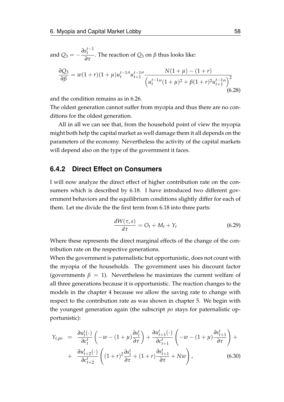and 
$$
Q_3 = -\frac{\partial s_t^{t-1}}{\partial \tau}
$$
. The reaction of  $Q_3$  on  $\beta$  thus looks like:

$$
\frac{\partial Q_3}{\partial \beta} = w(1+r)(1+\mu)u_t^{t-1} u_{t+1}^{t-1} \frac{N(1+\mu) - (1+r)}{\left(u_t^{t-1} \frac{m}{1+\mu} + \beta(1+r)^2 u_{t+1}^{t-1} u\right)^2}
$$
\n(6.28)

and the condition remains as in [6.26.](#page-67-0)

The oldest generation cannot suffer from myopia and thus there are no conditions for the oldest generation.

All in all we can see that, from the household point of view the myopia might both help the capital market as well damage them it all depends on the parameters of the economy. Nevertheless the activity of the capital markets will depend also on the type of the government it faces.

#### **6.4.2 Direct Effect on Consumers**

I will now analyze the direct effect of higher contribution rate on the consumers which is described by [6.18.](#page-66-0) I have introduced two different government behaviors and the equilibrium conditions slightly differ for each of them. Let me divide the the first term from [6.18](#page-66-0) into three parts:

$$
\frac{dW(\tau,s)}{d\tau} = O_t + M_t + Y_t \tag{6.29}
$$

Where these represents the direct marginal effects of the change of the contribution rate on the respective generations.

When the government is paternalistic but opportunistic, does not count with the myopia of the households. The government uses his discount factor (governments  $\beta = 1$ ). Nevertheless he maximizes the current welfare of all three generations because it is opportunistic. The reaction changes to the models in the chapter 4 because we allow the saving rate to change with respect to the contribution rate as was shown in chapter [5.](#page-53-0) We begin with the youngest generation again (the subscript *po* stays for paternalistic opportunistic):

$$
Y_{t,po} = \frac{\partial u_t^t(\cdot)}{\partial c_t^t} \left( -w - (1+\mu) \frac{\partial s_t^t}{\partial \tau} \right) + \frac{\partial u_{t+1}^t(\cdot)}{\partial c_{t+1}^t} \left( -w - (1+\mu) \frac{\partial s_{t+1}^t}{\partial \tau} \right) + + \frac{\partial u_{t+2}^t(\cdot)}{\partial c_{t+2}^t} \left( (1+r)^2 \frac{\partial s_t^t}{\partial \tau} + (1+r) \frac{\partial s_{t+1}^t}{\partial \tau} + Nw \right),
$$
(6.30)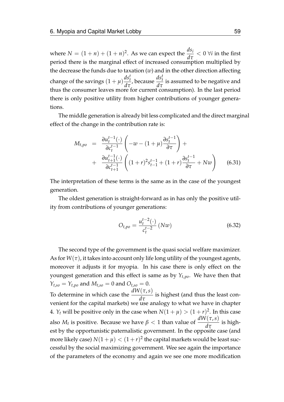where  $N = (1 + n) + (1 + n)^2$ . As we can expect the  $\frac{ds_i}{dt}$ *dτ* < 0 ∀*i* in the first period there is the marginal effect of increased consumption multiplied by the decrease the funds due to taxation (*w*) and in the other direction affecting change of the savings  $(1 + \mu)$  $ds_t^t$ *dτ* , because  $\frac{ds_t^t}{dt}$  $\frac{d\tau}{d\tau}$  is assumed to be negative and thus the consumer leaves more for current consumption). In the last period there is only positive utility from higher contributions of younger generations.

The middle generation is already bit less complicated and the direct marginal effect of the change in the contribution rate is:

$$
M_{t,po} = \frac{\partial u_t^{t-1}(\cdot)}{\partial c_t^{t-1}} \left( -w - (1+\mu) \frac{\partial s_t^{t-1}}{\partial \tau} \right) + + \frac{\partial u_{t+1}^{t-1}(\cdot)}{\partial c_{t+1}^{t-1}} \left( (1+r)^2 s_{t-1}^{t-1} + (1+r) \frac{\partial s_t^{t-1}}{\partial \tau} + Nw \right)
$$
(6.31)

The interpretation of these terms is the same as in the case of the youngest generation.

The oldest generation is straight-forward as in has only the positive utility from contributions of younger generations:

$$
O_{t,po} = \frac{u_t^{t-2}(\cdot)}{c_t^{t-2}} (Nw)
$$
\n(6.32)

The second type of the government is the quasi social welfare maximizer. As for  $W(\tau)$ , it takes into account only life long utility of the youngest agents, moreover it adjusts it for myopia. In his case there is only effect on the youngest generation and this effect is same as by *Yt*,*po*. We have then that  $Y_{t,so} = Y_{t,po}$  and  $M_{t,so} = 0$  and  $O_{t,so} = 0$ . To determine in which case the  $\frac{dW(\tau,s)}{dt}$  $\frac{d\tau}{d\tau}$  is highest (and thus the least convenient for the capital markets) we use analogy to what we have in chapter 4.  $Y_t$  will be positive only in the case when  $N(1 + \mu) > (1 + r)^2$ . In this case also *M<sub>t</sub>* is positive. Because we have  $\beta < 1$  than value of  $\frac{dW(\tau,s)}{d\tau}$  $\frac{d\tau}{d\tau}$  is highest by the opportunistic paternalistic government. In the opposite case (and more likely case)  $N(1+\mu) < (1+r)^2$  the capital markets would be least successful by the social maximizing government. Wee see again the importance of the parameters of the economy and again we see one more modification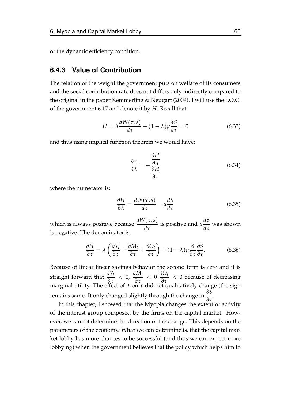of the dynamic efficiency condition.

#### **6.4.3 Value of Contribution**

The relation of the weight the government puts on welfare of its consumers and the social contribution rate does not differs only indirectly compared to the original in the paper [Kemmerling & Neugart](#page-75-1) [\(2009\)](#page-75-1). I will use the F.O.C. of the government [6.17](#page-65-0) and denote it by *H*. Recall that:

$$
H = \lambda \frac{dW(\tau, s)}{d\tau} + (1 - \lambda)\mu \frac{dS}{d\tau} = 0
$$
 (6.33)

and thus using implicit function theorem we would have:

$$
\frac{\partial \tau}{\partial \lambda} = -\frac{\frac{\partial H}{\partial \lambda}}{\frac{\partial H}{\partial \tau}}
$$
(6.34)

where the numerator is:

$$
\frac{\partial H}{\partial \lambda} = \frac{dW(\tau, s)}{d\tau} - \mu \frac{dS}{d\tau}
$$
 (6.35)

which is always positive because *dW*(*τ*,*s*) *dτ* is positive and *µ dS*  $\frac{d\tau}{d\tau}$  was shown is negative. The denominator is:

$$
\frac{\partial H}{\partial \tau} = \lambda \left( \frac{\partial Y_t}{\partial \tau} + \frac{\partial M_t}{\partial \tau} + \frac{\partial O_t}{\partial \tau} \right) + (1 - \lambda) \mu \frac{\partial}{\partial \tau} \frac{\partial S}{\partial \tau}.
$$
 (6.36)

Because of linear linear savings behavior the second term is zero and it is straight forward that  $\frac{\partial Y_t}{\partial \tau} < 0$ ,  $\frac{\partial M_t}{\partial \tau} < 0$   $\frac{\partial O_t}{\partial \tau} < 0$  because of decreasing marginal utility. The effect of *λ* on *τ* did not qualitatively change (the sign remains same. It only changed slightly through the change in *<sup>∂</sup><sup>S</sup> ∂τ* .

In this chapter, I showed that the Myopia changes the extent of activity of the interest group composed by the firms on the capital market. However, we cannot determine the direction of the change. This depends on the parameters of the economy. What we can determine is, that the capital market lobby has more chances to be successful (and thus we can expect more lobbying) when the government believes that the policy which helps him to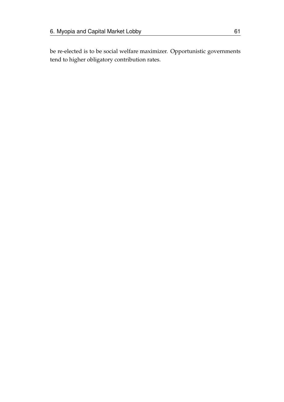be re-elected is to be social welfare maximizer. Opportunistic governments tend to higher obligatory contribution rates.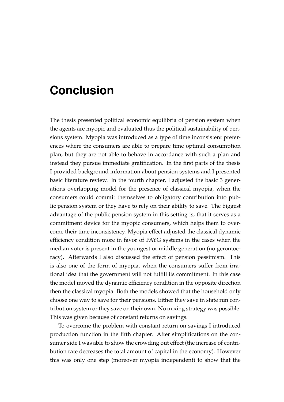## **Conclusion**

The thesis presented political economic equilibria of pension system when the agents are myopic and evaluated thus the political sustainability of pensions system. Myopia was introduced as a type of time inconsistent preferences where the consumers are able to prepare time optimal consumption plan, but they are not able to behave in accordance with such a plan and instead they pursue immediate gratification. In the first parts of the thesis I provided background information about pension systems and I presented basic literature review. In the fourth chapter, I adjusted the basic 3 generations overlapping model for the presence of classical myopia, when the consumers could commit themselves to obligatory contribution into public pension system or they have to rely on their ability to save. The biggest advantage of the public pension system in this setting is, that it serves as a commitment device for the myopic consumers, which helps them to overcome their time inconsistency. Myopia effect adjusted the classical dynamic efficiency condition more in favor of PAYG systems in the cases when the median voter is present in the youngest or middle generation (no gerontocracy). Afterwards I also discussed the effect of pension pessimism. This is also one of the form of myopia, when the consumers suffer from irrational idea that the government will not fulfill its commitment. In this case the model moved the dynamic efficiency condition in the opposite direction then the classical myopia. Both the models showed that the household only choose one way to save for their pensions. Either they save in state run contribution system or they save on their own. No mixing strategy was possible. This was given because of constant returns on savings.

To overcome the problem with constant return on savings I introduced production function in the fifth chapter. After simplifications on the consumer side I was able to show the crowding out effect (the increase of contribution rate decreases the total amount of capital in the economy). However this was only one step (moreover myopia independent) to show that the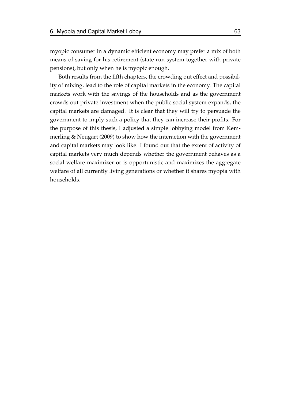myopic consumer in a dynamic efficient economy may prefer a mix of both means of saving for his retirement (state run system together with private pensions), but only when he is myopic enough.

Both results from the fifth chapters, the crowding out effect and possibility of mixing, lead to the role of capital markets in the economy. The capital markets work with the savings of the households and as the government crowds out private investment when the public social system expands, the capital markets are damaged. It is clear that they will try to persuade the government to imply such a policy that they can increase their profits. For the purpose of this thesis, I adjusted a simple lobbying model from [Kem](#page-75-0)[merling & Neugart](#page-75-0) [\(2009\)](#page-75-0) to show how the interaction with the government and capital markets may look like. I found out that the extent of activity of capital markets very much depends whether the government behaves as a social welfare maximizer or is opportunistic and maximizes the aggregate welfare of all currently living generations or whether it shares myopia with households.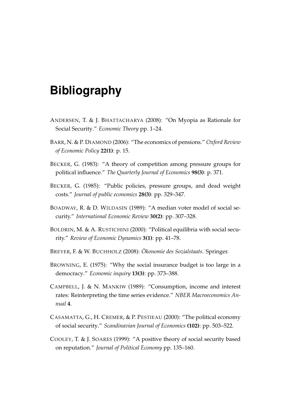## **Bibliography**

- ANDERSEN, T. & J. BHATTACHARYA (2008): "On Myopia as Rationale for Social Security." *Economic Theory* pp. 1–24.
- BARR, N. & P. DIAMOND (2006): "The economics of pensions." *Oxford Review of Economic Policy* **22(1)**: p. 15.
- BECKER, G. (1983): "A theory of competition among pressure groups for political influence." *The Quarterly Journal of Economics* **98(3)**: p. 371.
- BECKER, G. (1985): "Public policies, pressure groups, and dead weight costs." *Journal of public economics* **28(3)**: pp. 329–347.
- BOADWAY, R. & D. WILDASIN (1989): "A median voter model of social security." *International Economic Review* **30(2)**: pp. 307–328.
- BOLDRIN, M. & A. RUSTICHINI (2000): "Political equilibria with social security." *Review of Economic Dynamics* **3(1)**: pp. 41–78.
- BREYER, F. & W. BUCHHOLZ (2008): *Ökonomie des Sozialstaats*. Springer.
- BROWNING, E. (1975): "Why the social insurance budget is too large in a democracy." *Economic inquiry* **13(3)**: pp. 373–388.
- CAMPBELL, J. & N. MANKIW (1989): "Consumption, income and interest rates: Reinterpreting the time series evidence." *NBER Macroeconomics Annual* **4**.
- CASAMATTA, G., H. CREMER, & P. PESTIEAU (2000): "The political economy of social security." *Scandinavian Journal of Economics* **(102)**: pp. 503–522.
- COOLEY, T. & J. SOARES (1999): "A positive theory of social security based on reputation." *Journal of Political Economy* pp. 135–160.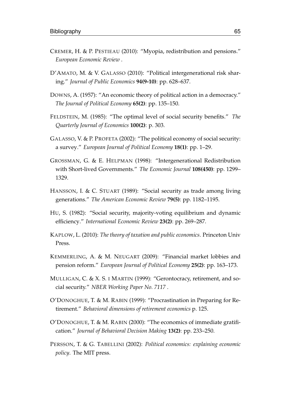- CREMER, H. & P. PESTIEAU (2010): "Myopia, redistribution and pensions." *European Economic Review* .
- D'AMATO, M. & V. GALASSO (2010): "Political intergenerational risk sharing." *Journal of Public Economics* **94(9-10)**: pp. 628–637.
- DOWNS, A. (1957): "An economic theory of political action in a democracy." *The Journal of Political Economy* **65(2)**: pp. 135–150.
- FELDSTEIN, M. (1985): "The optimal level of social security benefits." *The Quarterly Journal of Economics* **100(2)**: p. 303.
- GALASSO, V. & P. PROFETA (2002): "The political economy of social security: a survey." *European Journal of Political Economy* **18(1)**: pp. 1–29.
- GROSSMAN, G. & E. HELPMAN (1998): "Intergenerational Redistribution with Short-lived Governments." *The Economic Journal* **108(450)**: pp. 1299– 1329.
- HANSSON, I. & C. STUART (1989): "Social security as trade among living generations." *The American Economic Review* **79(5)**: pp. 1182–1195.
- HU, S. (1982): "Social security, majority-voting equilibrium and dynamic efficiency." *International Economic Review* **23(2)**: pp. 269–287.
- KAPLOW, L. (2010): *The theory of taxation and public economics*. Princeton Univ Press.
- <span id="page-75-0"></span>KEMMERLING, A. & M. NEUGART (2009): "Financial market lobbies and pension reform." *European Journal of Political Economy* **25(2)**: pp. 163–173.
- MULLIGAN, C. & X. S. I MARTIN (1999): "Gerontocracy, retirement, and social security." *NBER Working Paper No. 7117* .
- O'DONOGHUE, T. & M. RABIN (1999): "Procrastination in Preparing for Retirement." *Behavioral dimensions of retirement economics* p. 125.
- O'DONOGHUE, T. & M. RABIN (2000): "The economics of immediate gratification." *Journal of Behavioral Decision Making* **13(2)**: pp. 233–250.
- PERSSON, T. & G. TABELLINI (2002): *Political economics: explaining economic policy*. The MIT press.